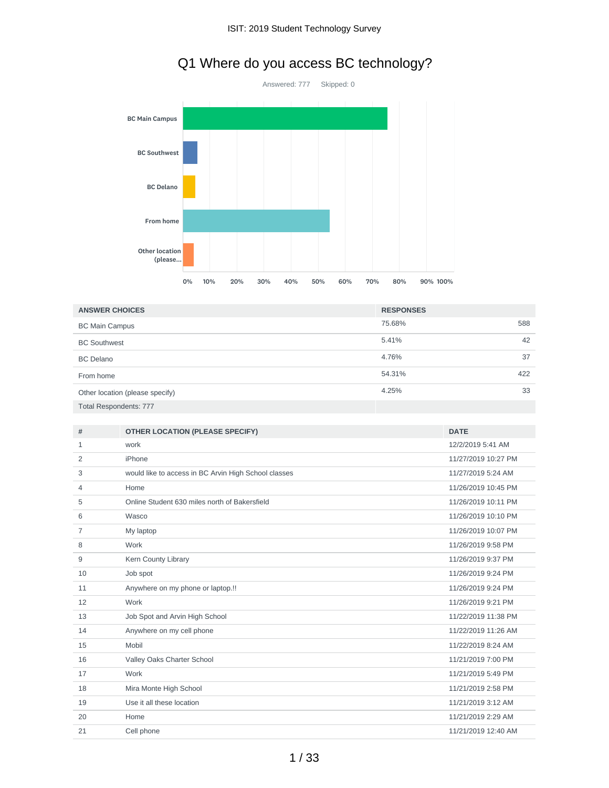

# Q1 Where do you access BC technology?

| <b>ANSWER CHOICES</b>           | <b>RESPONSES</b> |     |
|---------------------------------|------------------|-----|
| <b>BC Main Campus</b>           | 75.68%           | 588 |
| <b>BC Southwest</b>             | 5.41%            | 42  |
| <b>BC</b> Delano                | 4.76%            | 37  |
| From home                       | 54.31%           | 422 |
| Other location (please specify) | 4.25%            | 33  |
| <b>Total Respondents: 777</b>   |                  |     |

| #  | <b>OTHER LOCATION (PLEASE SPECIFY)</b>               | <b>DATE</b>         |
|----|------------------------------------------------------|---------------------|
| 1  | work                                                 | 12/2/2019 5:41 AM   |
| 2  | iPhone                                               | 11/27/2019 10:27 PM |
| 3  | would like to access in BC Arvin High School classes | 11/27/2019 5:24 AM  |
| 4  | Home                                                 | 11/26/2019 10:45 PM |
| 5  | Online Student 630 miles north of Bakersfield        | 11/26/2019 10:11 PM |
| 6  | Wasco                                                | 11/26/2019 10:10 PM |
| 7  | My laptop                                            | 11/26/2019 10:07 PM |
| 8  | Work                                                 | 11/26/2019 9:58 PM  |
| 9  | Kern County Library                                  | 11/26/2019 9:37 PM  |
| 10 | Job spot                                             | 11/26/2019 9:24 PM  |
| 11 | Anywhere on my phone or laptop.!!                    | 11/26/2019 9:24 PM  |
| 12 | Work                                                 | 11/26/2019 9:21 PM  |
| 13 | Job Spot and Arvin High School                       | 11/22/2019 11:38 PM |
| 14 | Anywhere on my cell phone                            | 11/22/2019 11:26 AM |
| 15 | Mobil                                                | 11/22/2019 8:24 AM  |
| 16 | Valley Oaks Charter School                           | 11/21/2019 7:00 PM  |
| 17 | Work                                                 | 11/21/2019 5:49 PM  |
| 18 | Mira Monte High School                               | 11/21/2019 2:58 PM  |
| 19 | Use it all these location                            | 11/21/2019 3:12 AM  |
| 20 | Home                                                 | 11/21/2019 2:29 AM  |
| 21 | Cell phone                                           | 11/21/2019 12:40 AM |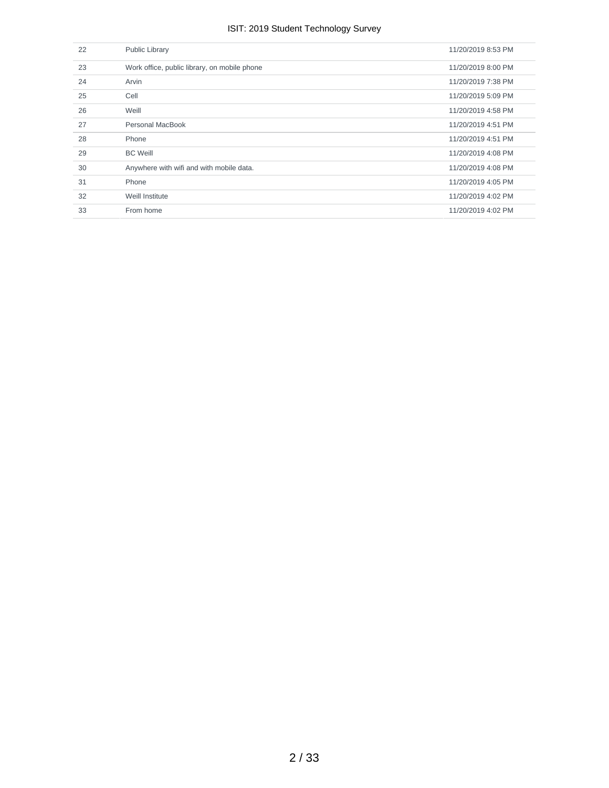| 22 | Public Library                               | 11/20/2019 8:53 PM |
|----|----------------------------------------------|--------------------|
| 23 | Work office, public library, on mobile phone | 11/20/2019 8:00 PM |
| 24 | Arvin                                        | 11/20/2019 7:38 PM |
| 25 | Cell                                         | 11/20/2019 5:09 PM |
| 26 | Weill                                        | 11/20/2019 4:58 PM |
| 27 | Personal MacBook                             | 11/20/2019 4:51 PM |
| 28 | Phone                                        | 11/20/2019 4:51 PM |
| 29 | <b>BC Weill</b>                              | 11/20/2019 4:08 PM |
| 30 | Anywhere with wifi and with mobile data.     | 11/20/2019 4:08 PM |
| 31 | Phone                                        | 11/20/2019 4:05 PM |
| 32 | Weill Institute                              | 11/20/2019 4:02 PM |
| 33 | From home                                    | 11/20/2019 4:02 PM |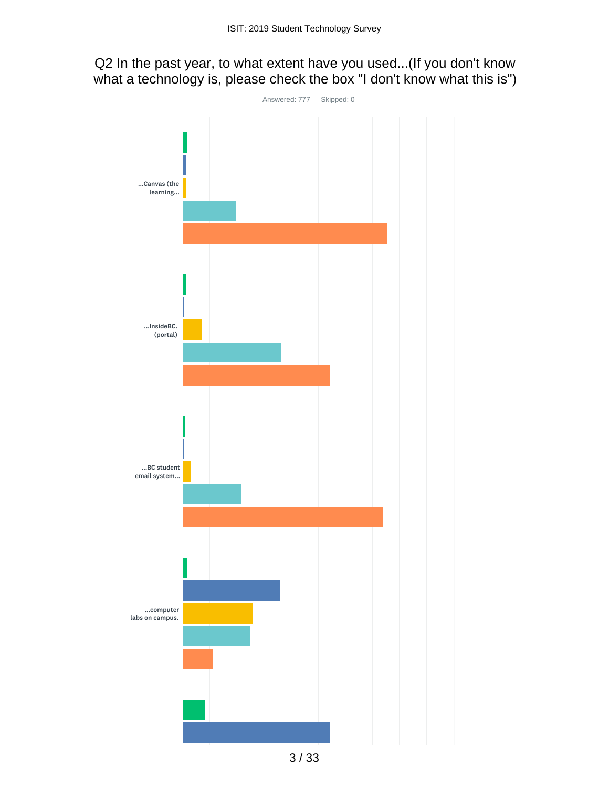# Q2 In the past year, to what extent have you used...(If you don't know what a technology is, please check the box "I don't know what this is")

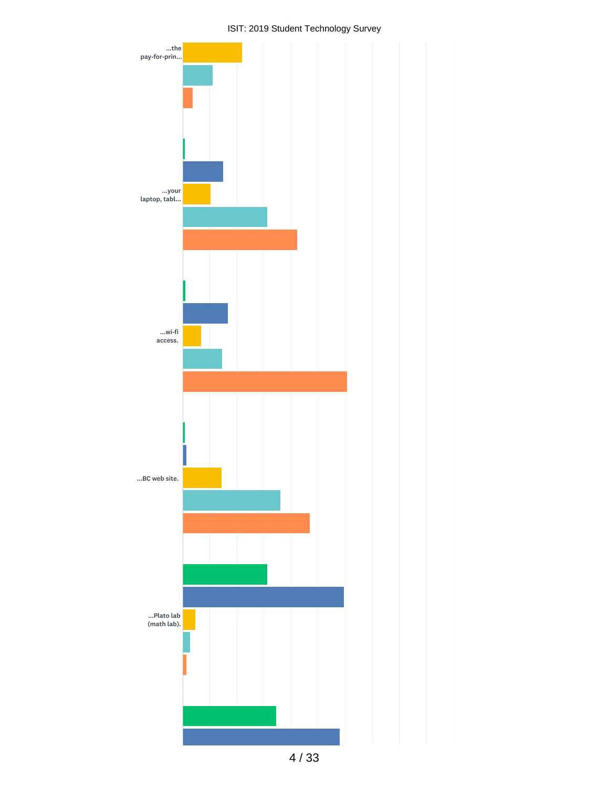

4 / 33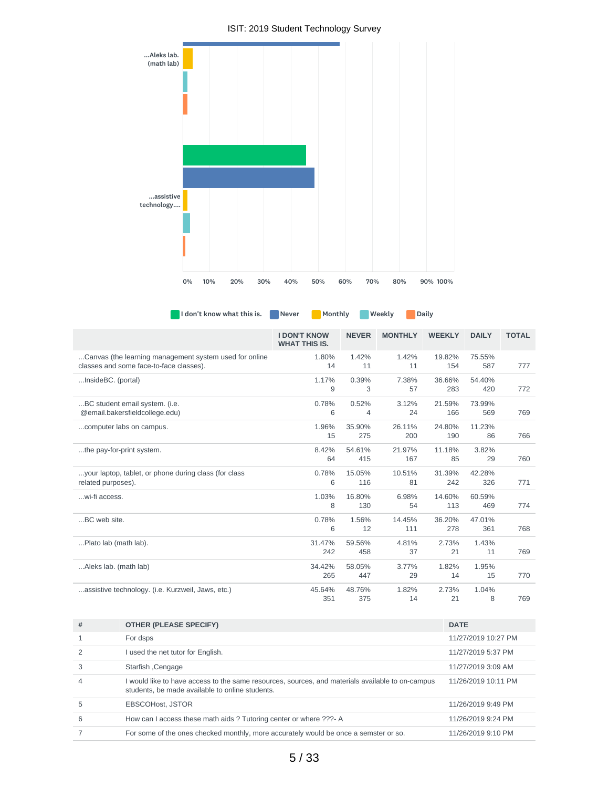

|                                                                                                   | <b>I DON'T KNOW</b><br><b>WHAT THIS IS.</b> | <b>NEVER</b>  | <b>MONTHLY</b> | <b>WEEKLY</b> | <b>DAILY</b>  | <b>TOTAL</b> |
|---------------------------------------------------------------------------------------------------|---------------------------------------------|---------------|----------------|---------------|---------------|--------------|
| Canvas (the learning management system used for online<br>classes and some face-to-face classes). | 1.80%<br>14                                 | 1.42%<br>11   | 1.42%<br>11    | 19.82%<br>154 | 75.55%<br>587 | 777          |
| InsideBC. (portal)                                                                                | 1.17%<br>9                                  | 0.39%<br>3    | 7.38%<br>57    | 36.66%<br>283 | 54.40%<br>420 | 772          |
| BC student email system. (i.e.<br>@email.bakersfieldcollege.edu)                                  | 0.78%<br>6                                  | 0.52%<br>4    | 3.12%<br>24    | 21.59%<br>166 | 73.99%<br>569 | 769          |
| computer labs on campus.                                                                          | 1.96%<br>15                                 | 35.90%<br>275 | 26.11%<br>200  | 24.80%<br>190 | 11.23%<br>86  | 766          |
| the pay-for-print system.                                                                         | 8.42%<br>64                                 | 54.61%<br>415 | 21.97%<br>167  | 11.18%<br>85  | 3.82%<br>29   | 760          |
| your laptop, tablet, or phone during class (for class<br>related purposes).                       | 0.78%<br>6                                  | 15.05%<br>116 | 10.51%<br>81   | 31.39%<br>242 | 42.28%<br>326 | 771          |
| wi-fi access.                                                                                     | 1.03%<br>8                                  | 16.80%<br>130 | 6.98%<br>54    | 14.60%<br>113 | 60.59%<br>469 | 774          |
| BC web site.                                                                                      | 0.78%<br>6                                  | 1.56%<br>12   | 14.45%<br>111  | 36.20%<br>278 | 47.01%<br>361 | 768          |
| Plato lab (math lab).                                                                             | 31.47%<br>242                               | 59.56%<br>458 | 4.81%<br>37    | 2.73%<br>21   | 1.43%<br>11   | 769          |
| Aleks lab. (math lab)                                                                             | 34.42%<br>265                               | 58.05%<br>447 | 3.77%<br>29    | 1.82%<br>14   | 1.95%<br>15   | 770          |
| assistive technology. (i.e. Kurzweil, Jaws, etc.)                                                 | 45.64%<br>351                               | 48.76%<br>375 | 1.82%<br>14    | 2.73%<br>21   | 1.04%<br>8    | 769          |

**I don't know what this is.** Never Monthly Weekly Daily

| #              | <b>OTHER (PLEASE SPECIFY)</b>                                                                                                                       | <b>DATE</b>         |
|----------------|-----------------------------------------------------------------------------------------------------------------------------------------------------|---------------------|
|                | For dsps                                                                                                                                            | 11/27/2019 10:27 PM |
|                | I used the net tutor for English.                                                                                                                   | 11/27/2019 5:37 PM  |
| 3              | Starfish, Cengage                                                                                                                                   | 11/27/2019 3:09 AM  |
| $\overline{4}$ | I would like to have access to the same resources, sources, and materials available to on-campus<br>students, be made available to online students. | 11/26/2019 10:11 PM |
| 5              | <b>EBSCOHost. JSTOR</b>                                                                                                                             | 11/26/2019 9:49 PM  |
| 6              | How can I access these math aids ? Tutoring center or where ???- A                                                                                  | 11/26/2019 9:24 PM  |
|                | For some of the ones checked monthly, more accurately would be once a semster or so.                                                                | 11/26/2019 9:10 PM  |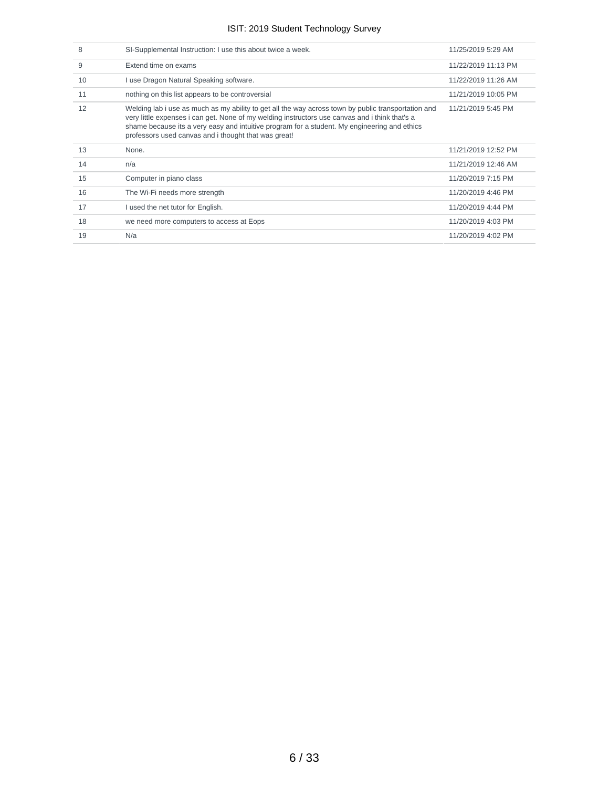| 8  | SI-Supplemental Instruction: I use this about twice a week.                                                                                                                                                                                                                                                                                                   | 11/25/2019 5:29 AM  |
|----|---------------------------------------------------------------------------------------------------------------------------------------------------------------------------------------------------------------------------------------------------------------------------------------------------------------------------------------------------------------|---------------------|
| 9  | Extend time on exams                                                                                                                                                                                                                                                                                                                                          | 11/22/2019 11:13 PM |
| 10 | I use Dragon Natural Speaking software.                                                                                                                                                                                                                                                                                                                       | 11/22/2019 11:26 AM |
| 11 | nothing on this list appears to be controversial                                                                                                                                                                                                                                                                                                              | 11/21/2019 10:05 PM |
| 12 | Welding lab i use as much as my ability to get all the way across town by public transportation and<br>very little expenses i can get. None of my welding instructors use canvas and i think that's a<br>shame because its a very easy and intuitive program for a student. My engineering and ethics<br>professors used canvas and i thought that was great! | 11/21/2019 5:45 PM  |
|    |                                                                                                                                                                                                                                                                                                                                                               |                     |
| 13 | None.                                                                                                                                                                                                                                                                                                                                                         | 11/21/2019 12:52 PM |
| 14 | n/a                                                                                                                                                                                                                                                                                                                                                           | 11/21/2019 12:46 AM |
| 15 | Computer in piano class                                                                                                                                                                                                                                                                                                                                       | 11/20/2019 7:15 PM  |
| 16 | The Wi-Fi needs more strength                                                                                                                                                                                                                                                                                                                                 | 11/20/2019 4:46 PM  |
| 17 | I used the net tutor for English.                                                                                                                                                                                                                                                                                                                             | 11/20/2019 4:44 PM  |
| 18 | we need more computers to access at Eops                                                                                                                                                                                                                                                                                                                      | 11/20/2019 4:03 PM  |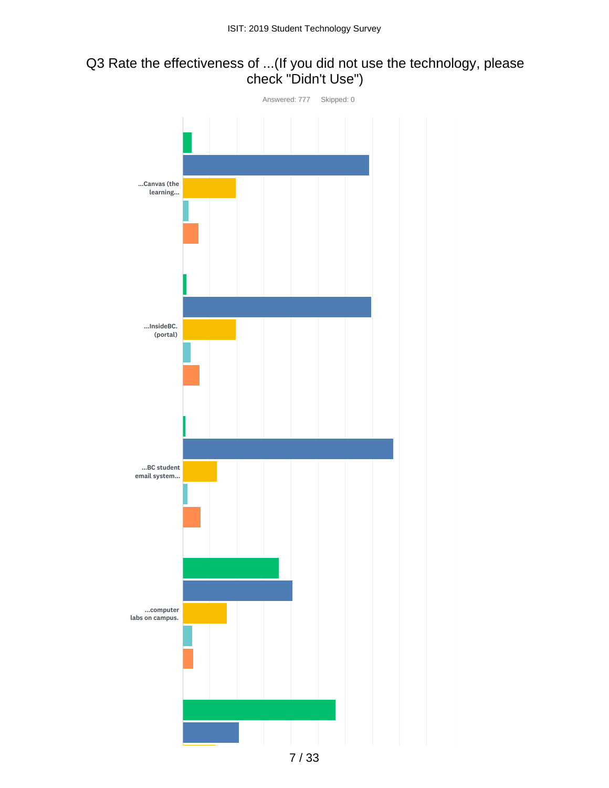# Q3 Rate the effectiveness of ...(If you did not use the technology, please check "Didn't Use")

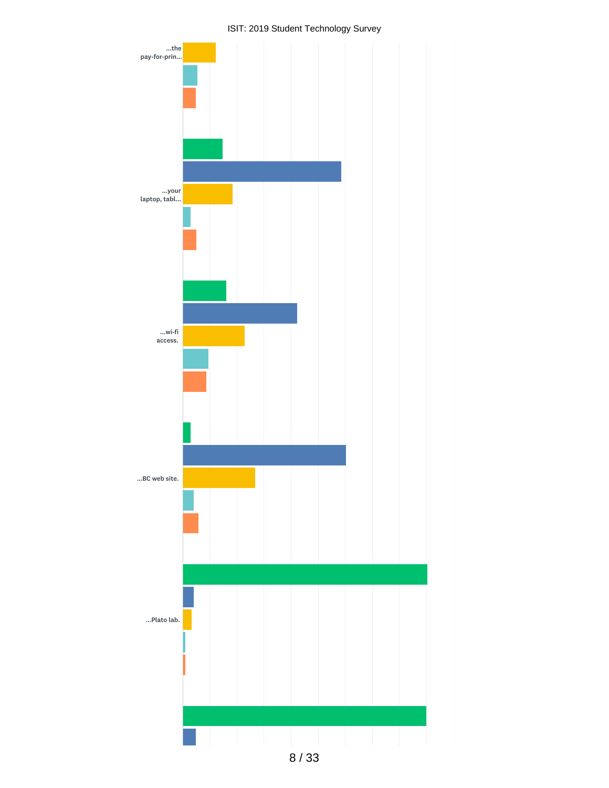

8 / 33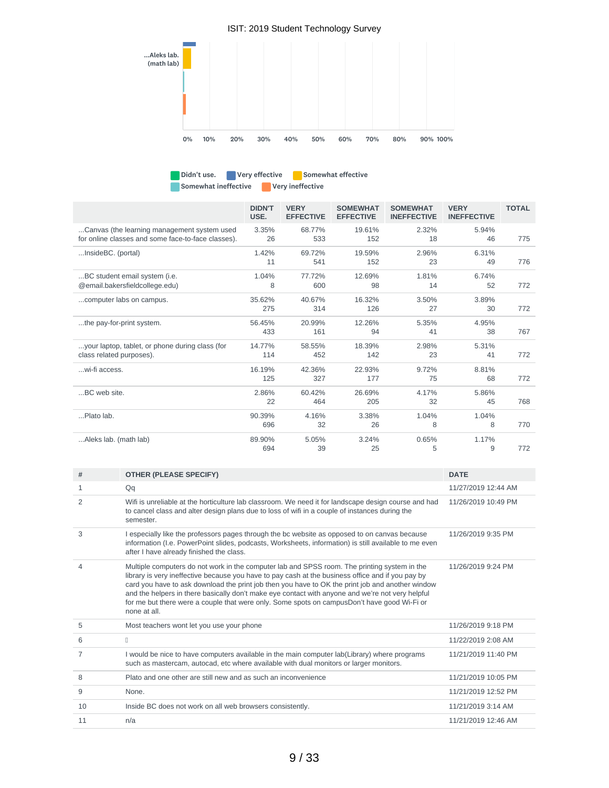

Didn't use. Very effective Somewhat effective Somewhat ineffective **Very ineffective** 

|                                                                                                   | <b>DIDN'T</b><br>USE. | <b>VERY</b><br><b>EFFECTIVE</b> | <b>SOMEWHAT</b><br><b>EFFECTIVE</b> | <b>SOMEWHAT</b><br><b>INEFFECTIVE</b> | <b>VERY</b><br><b>INEFFECTIVE</b> | <b>TOTAL</b> |
|---------------------------------------------------------------------------------------------------|-----------------------|---------------------------------|-------------------------------------|---------------------------------------|-----------------------------------|--------------|
| Canvas (the learning management system used<br>for online classes and some face-to-face classes). | 3.35%<br>26           | 68.77%<br>533                   | 19.61%<br>152                       | 2.32%<br>18                           | 5.94%<br>46                       | 775          |
| InsideBC. (portal)                                                                                | 1.42%<br>11           | 69.72%<br>541                   | 19.59%<br>152                       | 2.96%<br>23                           | 6.31%<br>49                       | 776          |
| BC student email system (i.e.<br>@email.bakersfieldcollege.edu)                                   | 1.04%<br>8            | 77.72%<br>600                   | 12.69%<br>98                        | 1.81%<br>14                           | 6.74%<br>52                       | 772          |
| computer labs on campus.                                                                          | 35.62%<br>275         | 40.67%<br>314                   | 16.32%<br>126                       | 3.50%<br>27                           | 3.89%<br>30                       | 772          |
| the pay-for-print system.                                                                         | 56.45%<br>433         | 20.99%<br>161                   | 12.26%<br>94                        | 5.35%<br>41                           | 4.95%<br>38                       | 767          |
| your laptop, tablet, or phone during class (for<br>class related purposes).                       | 14.77%<br>114         | 58.55%<br>452                   | 18.39%<br>142                       | 2.98%<br>23                           | 5.31%<br>41                       | 772          |
| wi-fi access.                                                                                     | 16.19%<br>125         | 42.36%<br>327                   | 22.93%<br>177                       | 9.72%<br>75                           | 8.81%<br>68                       | 772          |
| BC web site.                                                                                      | 2.86%<br>22           | 60.42%<br>464                   | 26.69%<br>205                       | 4.17%<br>32                           | 5.86%<br>45                       | 768          |
| Plato lab.                                                                                        | 90.39%<br>696         | 4.16%<br>32                     | 3.38%<br>26                         | 1.04%<br>8                            | 1.04%<br>8                        | 770          |
| Aleks lab. (math lab)                                                                             | 89.90%<br>694         | 5.05%<br>39                     | 3.24%<br>25                         | 0.65%<br>5                            | 1.17%<br>9                        | 772          |

| #              | <b>OTHER (PLEASE SPECIFY)</b>                                                                                                                                                                                                                                                                                                                                                                                                                                                                                            | <b>DATE</b>         |
|----------------|--------------------------------------------------------------------------------------------------------------------------------------------------------------------------------------------------------------------------------------------------------------------------------------------------------------------------------------------------------------------------------------------------------------------------------------------------------------------------------------------------------------------------|---------------------|
| $\mathbf{1}$   | Qq                                                                                                                                                                                                                                                                                                                                                                                                                                                                                                                       | 11/27/2019 12:44 AM |
| $\overline{2}$ | Wifi is unreliable at the horticulture lab classroom. We need it for landscape design course and had<br>to cancel class and alter design plans due to loss of wifi in a couple of instances during the<br>semester.                                                                                                                                                                                                                                                                                                      | 11/26/2019 10:49 PM |
| 3              | I especially like the professors pages through the bc website as opposed to on canvas because<br>information (I.e. PowerPoint slides, podcasts, Worksheets, information) is still available to me even<br>after I have already finished the class.                                                                                                                                                                                                                                                                       | 11/26/2019 9:35 PM  |
| 4              | Multiple computers do not work in the computer lab and SPSS room. The printing system in the<br>library is very ineffective because you have to pay cash at the business office and if you pay by<br>card you have to ask download the print job then you have to OK the print job and another window<br>and the helpers in there basically don't make eye contact with anyone and we're not very helpful<br>for me but there were a couple that were only. Some spots on campusDon't have good Wi-Fi or<br>none at all. | 11/26/2019 9:24 PM  |
| 5              | Most teachers wont let you use your phone                                                                                                                                                                                                                                                                                                                                                                                                                                                                                | 11/26/2019 9:18 PM  |
| 6              | $\mathbb{R}$                                                                                                                                                                                                                                                                                                                                                                                                                                                                                                             | 11/22/2019 2:08 AM  |
| 7              | I would be nice to have computers available in the main computer lab(Library) where programs<br>such as mastercam, autocad, etc where available with dual monitors or larger monitors.                                                                                                                                                                                                                                                                                                                                   | 11/21/2019 11:40 PM |
| 8              | Plato and one other are still new and as such an inconvenience                                                                                                                                                                                                                                                                                                                                                                                                                                                           | 11/21/2019 10:05 PM |
| 9              | None.                                                                                                                                                                                                                                                                                                                                                                                                                                                                                                                    | 11/21/2019 12:52 PM |
| 10             | Inside BC does not work on all web browsers consistently.                                                                                                                                                                                                                                                                                                                                                                                                                                                                | 11/21/2019 3:14 AM  |
| 11             | n/a                                                                                                                                                                                                                                                                                                                                                                                                                                                                                                                      | 11/21/2019 12:46 AM |
|                |                                                                                                                                                                                                                                                                                                                                                                                                                                                                                                                          |                     |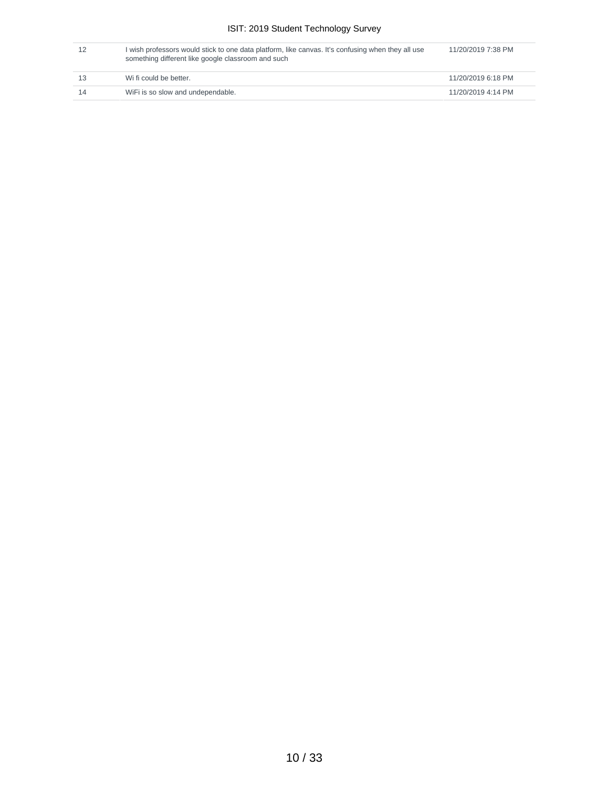| 12  | I wish professors would stick to one data platform, like canvas. It's confusing when they all use<br>something different like google classroom and such | 11/20/2019 7:38 PM |
|-----|---------------------------------------------------------------------------------------------------------------------------------------------------------|--------------------|
| -13 | Wi fi could be better.                                                                                                                                  | 11/20/2019 6:18 PM |
| 14  | WiFi is so slow and undependable.                                                                                                                       | 11/20/2019 4:14 PM |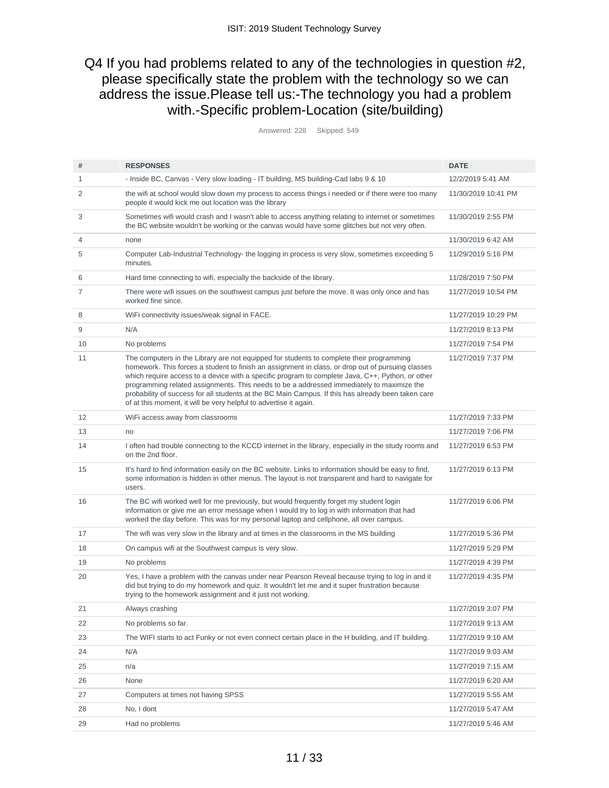## Q4 If you had problems related to any of the technologies in question #2, please specifically state the problem with the technology so we can address the issue.Please tell us:-The technology you had a problem with.-Specific problem-Location (site/building)

Answered: 228 Skipped: 549

| #              | <b>RESPONSES</b>                                                                                                                                                                                                                                                                                                                                                                                                                                                                                                                                                          | <b>DATE</b>         |
|----------------|---------------------------------------------------------------------------------------------------------------------------------------------------------------------------------------------------------------------------------------------------------------------------------------------------------------------------------------------------------------------------------------------------------------------------------------------------------------------------------------------------------------------------------------------------------------------------|---------------------|
| 1              | - Inside BC, Canvas - Very slow loading - IT building, MS building-Cad labs 9 & 10                                                                                                                                                                                                                                                                                                                                                                                                                                                                                        | 12/2/2019 5:41 AM   |
| $\overline{2}$ | the wifi at school would slow down my process to access things i needed or if there were too many<br>people it would kick me out location was the library                                                                                                                                                                                                                                                                                                                                                                                                                 | 11/30/2019 10:41 PM |
| 3              | Sometimes wifi would crash and I wasn't able to access anything relating to internet or sometimes<br>the BC website wouldn't be working or the canvas would have some glitches but not very often.                                                                                                                                                                                                                                                                                                                                                                        | 11/30/2019 2:55 PM  |
| $\overline{4}$ | none                                                                                                                                                                                                                                                                                                                                                                                                                                                                                                                                                                      | 11/30/2019 6:42 AM  |
| 5              | Computer Lab-Industrial Technology- the logging in process is very slow, sometimes exceeding 5<br>minutes.                                                                                                                                                                                                                                                                                                                                                                                                                                                                | 11/29/2019 5:16 PM  |
| 6              | Hard time connecting to wifi, especially the backside of the library.                                                                                                                                                                                                                                                                                                                                                                                                                                                                                                     | 11/28/2019 7:50 PM  |
| 7              | There were wifi issues on the southwest campus just before the move. It was only once and has<br>worked fine since.                                                                                                                                                                                                                                                                                                                                                                                                                                                       | 11/27/2019 10:54 PM |
| 8              | WiFi connectivity issues/weak signal in FACE.                                                                                                                                                                                                                                                                                                                                                                                                                                                                                                                             | 11/27/2019 10:29 PM |
| 9              | N/A                                                                                                                                                                                                                                                                                                                                                                                                                                                                                                                                                                       | 11/27/2019 8:13 PM  |
| 10             | No problems                                                                                                                                                                                                                                                                                                                                                                                                                                                                                                                                                               | 11/27/2019 7:54 PM  |
| 11             | The computers in the Library are not equipped for students to complete their programming<br>homework. This forces a student to finish an assignment in class, or drop out of pursuing classes<br>which require access to a device with a specific program to complete Java, C++, Python, or other<br>programming related assignments. This needs to be a addressed immediately to maximize the<br>probability of success for all students at the BC Main Campus. If this has already been taken care<br>of at this moment, it will be very helpful to advertise it again. | 11/27/2019 7:37 PM  |
| 12             | WiFi access away from classrooms                                                                                                                                                                                                                                                                                                                                                                                                                                                                                                                                          | 11/27/2019 7:33 PM  |
| 13             | no                                                                                                                                                                                                                                                                                                                                                                                                                                                                                                                                                                        | 11/27/2019 7:06 PM  |
| 14             | I often had trouble connecting to the KCCD internet in the library, especially in the study rooms and<br>on the 2nd floor.                                                                                                                                                                                                                                                                                                                                                                                                                                                | 11/27/2019 6:53 PM  |
| 15             | It's hard to find information easily on the BC website. Links to information should be easy to find,<br>some information is hidden in other menus. The layout is not transparent and hard to navigate for<br>users.                                                                                                                                                                                                                                                                                                                                                       | 11/27/2019 6:13 PM  |
| 16             | The BC wifi worked well for me previously, but would frequently forget my student login<br>information or give me an error message when I would try to log in with information that had<br>worked the day before. This was for my personal laptop and cellphone, all over campus.                                                                                                                                                                                                                                                                                         | 11/27/2019 6:06 PM  |
| 17             | The wifi was very slow in the library and at times in the classrooms in the MS building                                                                                                                                                                                                                                                                                                                                                                                                                                                                                   | 11/27/2019 5:36 PM  |
| 18             | On campus wifi at the Southwest campus is very slow.                                                                                                                                                                                                                                                                                                                                                                                                                                                                                                                      | 11/27/2019 5:29 PM  |
| 19             | No problems                                                                                                                                                                                                                                                                                                                                                                                                                                                                                                                                                               | 11/27/2019 4:39 PM  |
| 20             | Yes, I have a problem with the canvas under near Pearson Reveal because trying to log in and it<br>did but trying to do my homework and quiz. It wouldn't let me and it super frustration because<br>trying to the homework assignment and it just not working.                                                                                                                                                                                                                                                                                                           | 11/27/2019 4:35 PM  |
| 21             | Always crashing                                                                                                                                                                                                                                                                                                                                                                                                                                                                                                                                                           | 11/27/2019 3:07 PM  |
| 22             | No problems so far.                                                                                                                                                                                                                                                                                                                                                                                                                                                                                                                                                       | 11/27/2019 9:13 AM  |
| 23             | The WIFI starts to act Funky or not even connect certain place in the H building, and IT building.                                                                                                                                                                                                                                                                                                                                                                                                                                                                        | 11/27/2019 9:10 AM  |
| 24             | N/A                                                                                                                                                                                                                                                                                                                                                                                                                                                                                                                                                                       | 11/27/2019 9:03 AM  |
| 25             | n/a                                                                                                                                                                                                                                                                                                                                                                                                                                                                                                                                                                       | 11/27/2019 7:15 AM  |
| 26             | None                                                                                                                                                                                                                                                                                                                                                                                                                                                                                                                                                                      | 11/27/2019 6:20 AM  |
| 27             | Computers at times not having SPSS                                                                                                                                                                                                                                                                                                                                                                                                                                                                                                                                        | 11/27/2019 5:55 AM  |
| 28             | No, I dont                                                                                                                                                                                                                                                                                                                                                                                                                                                                                                                                                                | 11/27/2019 5:47 AM  |
| 29             | Had no problems                                                                                                                                                                                                                                                                                                                                                                                                                                                                                                                                                           | 11/27/2019 5:46 AM  |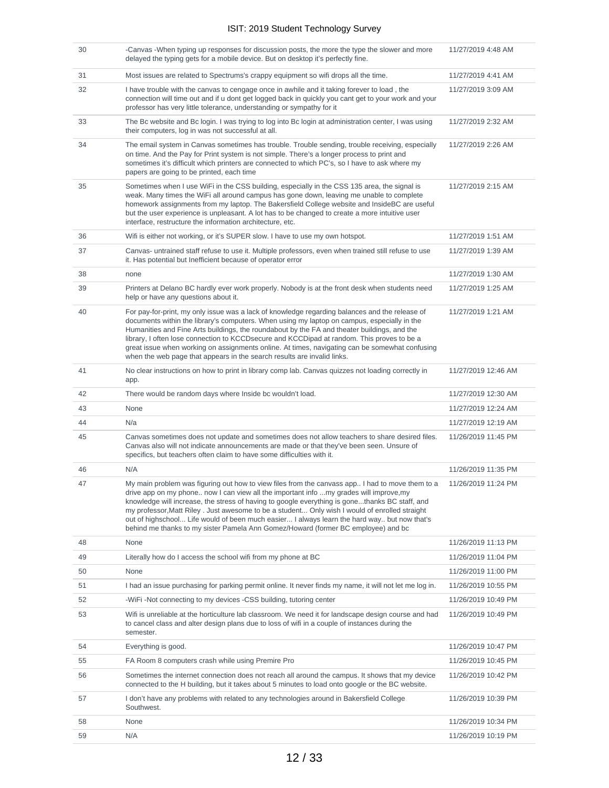| 30 | -Canvas -When typing up responses for discussion posts, the more the type the slower and more<br>delayed the typing gets for a mobile device. But on desktop it's perfectly fine.                                                                                                                                                                                                                                                                                                                                                                                                | 11/27/2019 4:48 AM  |
|----|----------------------------------------------------------------------------------------------------------------------------------------------------------------------------------------------------------------------------------------------------------------------------------------------------------------------------------------------------------------------------------------------------------------------------------------------------------------------------------------------------------------------------------------------------------------------------------|---------------------|
| 31 | Most issues are related to Spectrums's crappy equipment so wifi drops all the time.                                                                                                                                                                                                                                                                                                                                                                                                                                                                                              | 11/27/2019 4:41 AM  |
| 32 | I have trouble with the canvas to cengage once in awhile and it taking forever to load, the<br>connection will time out and if u dont get logged back in quickly you cant get to your work and your<br>professor has very little tolerance, understanding or sympathy for it                                                                                                                                                                                                                                                                                                     | 11/27/2019 3:09 AM  |
| 33 | The Bc website and Bc login. I was trying to log into Bc login at administration center, I was using<br>their computers, log in was not successful at all.                                                                                                                                                                                                                                                                                                                                                                                                                       | 11/27/2019 2:32 AM  |
| 34 | The email system in Canvas sometimes has trouble. Trouble sending, trouble receiving, especially<br>on time. And the Pay for Print system is not simple. There's a longer process to print and<br>sometimes it's difficult which printers are connected to which PC's, so I have to ask where my<br>papers are going to be printed, each time                                                                                                                                                                                                                                    | 11/27/2019 2:26 AM  |
| 35 | Sometimes when I use WiFi in the CSS building, especially in the CSS 135 area, the signal is<br>weak. Many times the WiFi all around campus has gone down, leaving me unable to complete<br>homework assignments from my laptop. The Bakersfield College website and InsideBC are useful<br>but the user experience is unpleasant. A lot has to be changed to create a more intuitive user<br>interface, restructure the information architecture, etc.                                                                                                                          | 11/27/2019 2:15 AM  |
| 36 | Wifi is either not working, or it's SUPER slow. I have to use my own hotspot.                                                                                                                                                                                                                                                                                                                                                                                                                                                                                                    | 11/27/2019 1:51 AM  |
| 37 | Canvas- untrained staff refuse to use it. Multiple professors, even when trained still refuse to use<br>it. Has potential but Inefficient because of operator error                                                                                                                                                                                                                                                                                                                                                                                                              | 11/27/2019 1:39 AM  |
| 38 | none                                                                                                                                                                                                                                                                                                                                                                                                                                                                                                                                                                             | 11/27/2019 1:30 AM  |
| 39 | Printers at Delano BC hardly ever work properly. Nobody is at the front desk when students need<br>help or have any questions about it.                                                                                                                                                                                                                                                                                                                                                                                                                                          | 11/27/2019 1:25 AM  |
| 40 | For pay-for-print, my only issue was a lack of knowledge regarding balances and the release of<br>documents within the library's computers. When using my laptop on campus, especially in the<br>Humanities and Fine Arts buildings, the roundabout by the FA and theater buildings, and the<br>library, I often lose connection to KCCDsecure and KCCDipad at random. This proves to be a<br>great issue when working on assignments online. At times, navigating can be somewhat confusing<br>when the web page that appears in the search results are invalid links.          | 11/27/2019 1:21 AM  |
| 41 | No clear instructions on how to print in library comp lab. Canvas quizzes not loading correctly in<br>app.                                                                                                                                                                                                                                                                                                                                                                                                                                                                       | 11/27/2019 12:46 AM |
| 42 | There would be random days where Inside bc wouldn't load.                                                                                                                                                                                                                                                                                                                                                                                                                                                                                                                        | 11/27/2019 12:30 AM |
| 43 | None                                                                                                                                                                                                                                                                                                                                                                                                                                                                                                                                                                             | 11/27/2019 12:24 AM |
| 44 | N/a                                                                                                                                                                                                                                                                                                                                                                                                                                                                                                                                                                              | 11/27/2019 12:19 AM |
| 45 | Canvas sometimes does not update and sometimes does not allow teachers to share desired files.<br>Canvas also will not indicate announcements are made or that they've been seen. Unsure of<br>specifics, but teachers often claim to have some difficulties with it.                                                                                                                                                                                                                                                                                                            | 11/26/2019 11:45 PM |
| 46 | N/A                                                                                                                                                                                                                                                                                                                                                                                                                                                                                                                                                                              | 11/26/2019 11:35 PM |
| 47 | My main problem was figuring out how to view files from the canvass app I had to move them to a<br>drive app on my phone now I can view all the important info my grades will improve,my<br>knowledge will increase, the stress of having to google everything is gonethanks BC staff, and<br>my professor, Matt Riley . Just awesome to be a student Only wish I would of enrolled straight<br>out of highschool Life would of been much easier I always learn the hard way but now that's<br>behind me thanks to my sister Pamela Ann Gomez/Howard (former BC employee) and bc | 11/26/2019 11:24 PM |
| 48 | None                                                                                                                                                                                                                                                                                                                                                                                                                                                                                                                                                                             | 11/26/2019 11:13 PM |
| 49 | Literally how do I access the school wifi from my phone at BC                                                                                                                                                                                                                                                                                                                                                                                                                                                                                                                    | 11/26/2019 11:04 PM |
| 50 | None                                                                                                                                                                                                                                                                                                                                                                                                                                                                                                                                                                             | 11/26/2019 11:00 PM |
| 51 | I had an issue purchasing for parking permit online. It never finds my name, it will not let me log in.                                                                                                                                                                                                                                                                                                                                                                                                                                                                          | 11/26/2019 10:55 PM |
| 52 | -WiFi-Not connecting to my devices -CSS building, tutoring center                                                                                                                                                                                                                                                                                                                                                                                                                                                                                                                | 11/26/2019 10:49 PM |
| 53 | Wifi is unreliable at the horticulture lab classroom. We need it for landscape design course and had<br>to cancel class and alter design plans due to loss of wifi in a couple of instances during the<br>semester.                                                                                                                                                                                                                                                                                                                                                              | 11/26/2019 10:49 PM |
| 54 | Everything is good.                                                                                                                                                                                                                                                                                                                                                                                                                                                                                                                                                              | 11/26/2019 10:47 PM |
| 55 | FA Room 8 computers crash while using Premire Pro                                                                                                                                                                                                                                                                                                                                                                                                                                                                                                                                | 11/26/2019 10:45 PM |
| 56 | Sometimes the internet connection does not reach all around the campus. It shows that my device<br>connected to the H building, but it takes about 5 minutes to load onto google or the BC website.                                                                                                                                                                                                                                                                                                                                                                              | 11/26/2019 10:42 PM |
| 57 | I don't have any problems with related to any technologies around in Bakersfield College<br>Southwest.                                                                                                                                                                                                                                                                                                                                                                                                                                                                           | 11/26/2019 10:39 PM |
| 58 | None                                                                                                                                                                                                                                                                                                                                                                                                                                                                                                                                                                             | 11/26/2019 10:34 PM |
| 59 | N/A                                                                                                                                                                                                                                                                                                                                                                                                                                                                                                                                                                              | 11/26/2019 10:19 PM |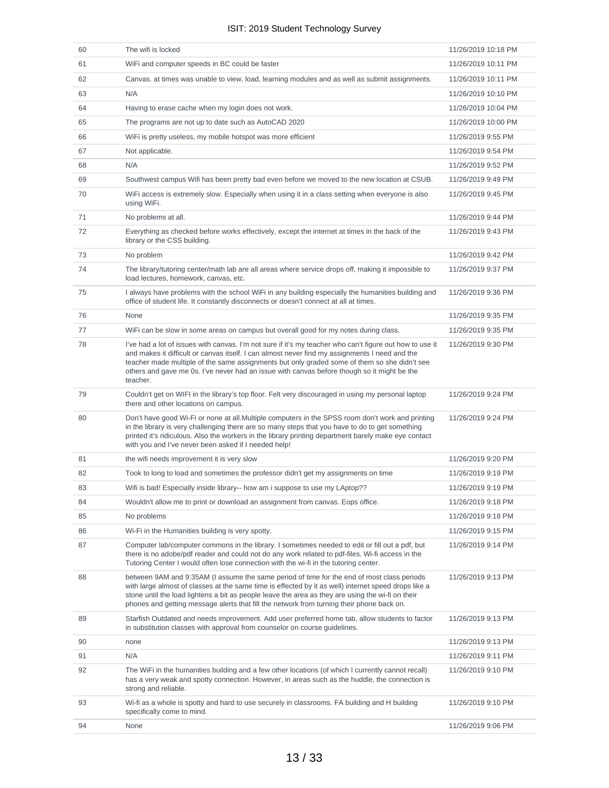| 60 | The wifi is locked                                                                                                                                                                                                                                                                                                                                                                                                    | 11/26/2019 10:18 PM |
|----|-----------------------------------------------------------------------------------------------------------------------------------------------------------------------------------------------------------------------------------------------------------------------------------------------------------------------------------------------------------------------------------------------------------------------|---------------------|
| 61 | WiFi and computer speeds in BC could be faster                                                                                                                                                                                                                                                                                                                                                                        | 11/26/2019 10:11 PM |
| 62 | Canvas. at times was unable to view, load, learning modules and as well as submit assignments.                                                                                                                                                                                                                                                                                                                        | 11/26/2019 10:11 PM |
| 63 | N/A                                                                                                                                                                                                                                                                                                                                                                                                                   | 11/26/2019 10:10 PM |
| 64 | Having to erase cache when my login does not work.                                                                                                                                                                                                                                                                                                                                                                    | 11/26/2019 10:04 PM |
| 65 | The programs are not up to date such as AutoCAD 2020                                                                                                                                                                                                                                                                                                                                                                  | 11/26/2019 10:00 PM |
| 66 | WiFi is pretty useless, my mobile hotspot was more efficient                                                                                                                                                                                                                                                                                                                                                          | 11/26/2019 9:55 PM  |
| 67 | Not applicable.                                                                                                                                                                                                                                                                                                                                                                                                       | 11/26/2019 9:54 PM  |
| 68 | N/A                                                                                                                                                                                                                                                                                                                                                                                                                   | 11/26/2019 9:52 PM  |
| 69 | Southwest campus Wifi has been pretty bad even before we moved to the new location at CSUB.                                                                                                                                                                                                                                                                                                                           | 11/26/2019 9:49 PM  |
| 70 | WiFi access is extremely slow. Especially when using it in a class setting when everyone is also<br>using WiFi.                                                                                                                                                                                                                                                                                                       | 11/26/2019 9:45 PM  |
| 71 | No problems at all.                                                                                                                                                                                                                                                                                                                                                                                                   | 11/26/2019 9:44 PM  |
| 72 | Everything as checked before works effectively, except the internet at times in the back of the<br>library or the CSS building.                                                                                                                                                                                                                                                                                       | 11/26/2019 9:43 PM  |
| 73 | No problem                                                                                                                                                                                                                                                                                                                                                                                                            | 11/26/2019 9:42 PM  |
| 74 | The library/tutoring center/math lab are all areas where service drops off, making it impossible to<br>load lectures, homework, canvas, etc.                                                                                                                                                                                                                                                                          | 11/26/2019 9:37 PM  |
| 75 | I always have problems with the school WiFi in any building especially the humanities building and<br>office of student life. It constantly disconnects or doesn't connect at all at times.                                                                                                                                                                                                                           | 11/26/2019 9:36 PM  |
| 76 | None                                                                                                                                                                                                                                                                                                                                                                                                                  | 11/26/2019 9:35 PM  |
| 77 | WiFi can be slow in some areas on campus but overall good for my notes during class.                                                                                                                                                                                                                                                                                                                                  | 11/26/2019 9:35 PM  |
| 78 | I've had a lot of issues with canvas. I'm not sure if it's my teacher who can't figure out how to use it<br>and makes it difficult or canvas itself. I can almost never find my assignments I need and the<br>teacher made multiple of the same assignments but only graded some of them so she didn't see<br>others and gave me 0s. I've never had an issue with canvas before though so it might be the<br>teacher. | 11/26/2019 9:30 PM  |
| 79 | Couldn't get on WIFI in the library's top floor. Felt very discouraged in using my personal laptop<br>there and other locations on campus.                                                                                                                                                                                                                                                                            | 11/26/2019 9:24 PM  |
| 80 | Don't have good Wi-Fi or none at all.Multiple computers in the SPSS room don't work and printing<br>in the library is very challenging there are so many steps that you have to do to get something<br>printed it's ridiculous. Also the workers in the library printing department barely make eye contact<br>with you and I've never been asked if I needed help!                                                   | 11/26/2019 9:24 PM  |
| 81 | the wifi needs improvement it is very slow                                                                                                                                                                                                                                                                                                                                                                            | 11/26/2019 9:20 PM  |
| 82 | Took to long to load and sometimes the professor didn't get my assignments on time                                                                                                                                                                                                                                                                                                                                    | 11/26/2019 9:19 PM  |
| 83 | Wifi is bad! Especially inside library-- how am i suppose to use my LAptop??                                                                                                                                                                                                                                                                                                                                          | 11/26/2019 9:19 PM  |
| 84 | Wouldn't allow me to print or download an assignment from canvas. Eops office.                                                                                                                                                                                                                                                                                                                                        | 11/26/2019 9:18 PM  |
| 85 | No problems                                                                                                                                                                                                                                                                                                                                                                                                           | 11/26/2019 9:18 PM  |
| 86 | Wi-Fi in the Humanities building is very spotty.                                                                                                                                                                                                                                                                                                                                                                      | 11/26/2019 9:15 PM  |
| 87 | Computer lab/computer commons in the library. I sometimes needed to edit or fill out a pdf, but<br>there is no adobe/pdf reader and could not do any work related to pdf-files. Wi-fi access in the<br>Tutoring Center I would often lose connection with the wi-fi in the tutoring center.                                                                                                                           | 11/26/2019 9:14 PM  |
| 88 | between 9AM and 9:35AM (I assume the same period of time for the end of most class periods<br>with large almost of classes at the same time is effected by it as well) internet speed drops like a<br>stone until the load lightens a bit as people leave the area as they are using the wi-fi on their<br>phones and getting message alerts that fill the network from turning their phone back on.                  | 11/26/2019 9:13 PM  |
| 89 | Starfish Outdated and needs improvement. Add user preferred home tab, allow students to factor<br>in substitution classes with approval from counselor on course guidelines.                                                                                                                                                                                                                                          | 11/26/2019 9:13 PM  |
| 90 | none                                                                                                                                                                                                                                                                                                                                                                                                                  | 11/26/2019 9:13 PM  |
| 91 | N/A                                                                                                                                                                                                                                                                                                                                                                                                                   | 11/26/2019 9:11 PM  |
| 92 | The WiFi in the humanities building and a few other locations (of which I currently cannot recall)<br>has a very weak and spotty connection. However, in areas such as the huddle, the connection is<br>strong and reliable.                                                                                                                                                                                          | 11/26/2019 9:10 PM  |
| 93 | Wi-fi as a whole is spotty and hard to use securely in classrooms. FA building and H building<br>specifically come to mind.                                                                                                                                                                                                                                                                                           | 11/26/2019 9:10 PM  |
| 94 | None                                                                                                                                                                                                                                                                                                                                                                                                                  | 11/26/2019 9:06 PM  |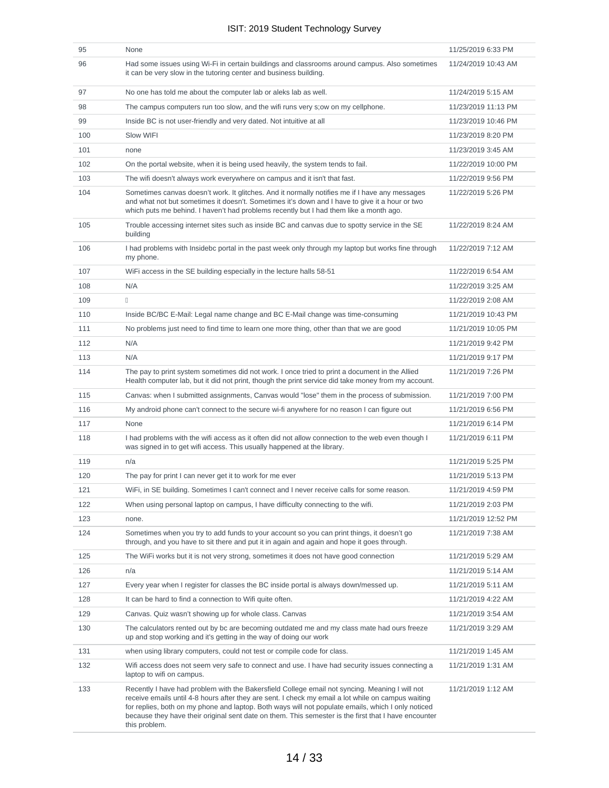| 95  | None                                                                                                                                                                                                                                                                                                                                                                                                                                | 11/25/2019 6:33 PM  |
|-----|-------------------------------------------------------------------------------------------------------------------------------------------------------------------------------------------------------------------------------------------------------------------------------------------------------------------------------------------------------------------------------------------------------------------------------------|---------------------|
| 96  | Had some issues using Wi-Fi in certain buildings and classrooms around campus. Also sometimes<br>it can be very slow in the tutoring center and business building.                                                                                                                                                                                                                                                                  | 11/24/2019 10:43 AM |
| 97  | No one has told me about the computer lab or aleks lab as well.                                                                                                                                                                                                                                                                                                                                                                     | 11/24/2019 5:15 AM  |
| 98  | The campus computers run too slow, and the wifi runs very stow on my cellphone.                                                                                                                                                                                                                                                                                                                                                     | 11/23/2019 11:13 PM |
| 99  | Inside BC is not user-friendly and very dated. Not intuitive at all                                                                                                                                                                                                                                                                                                                                                                 | 11/23/2019 10:46 PM |
| 100 | Slow WIFI                                                                                                                                                                                                                                                                                                                                                                                                                           | 11/23/2019 8:20 PM  |
| 101 | none                                                                                                                                                                                                                                                                                                                                                                                                                                | 11/23/2019 3:45 AM  |
| 102 | On the portal website, when it is being used heavily, the system tends to fail.                                                                                                                                                                                                                                                                                                                                                     | 11/22/2019 10:00 PM |
| 103 | The wifi doesn't always work everywhere on campus and it isn't that fast.                                                                                                                                                                                                                                                                                                                                                           | 11/22/2019 9:56 PM  |
| 104 | Sometimes canvas doesn't work. It glitches. And it normally notifies me if I have any messages<br>and what not but sometimes it doesn't. Sometimes it's down and I have to give it a hour or two<br>which puts me behind. I haven't had problems recently but I had them like a month ago.                                                                                                                                          | 11/22/2019 5:26 PM  |
| 105 | Trouble accessing internet sites such as inside BC and canvas due to spotty service in the SE<br>building                                                                                                                                                                                                                                                                                                                           | 11/22/2019 8:24 AM  |
| 106 | I had problems with Insidebc portal in the past week only through my laptop but works fine through<br>my phone.                                                                                                                                                                                                                                                                                                                     | 11/22/2019 7:12 AM  |
| 107 | WiFi access in the SE building especially in the lecture halls 58-51                                                                                                                                                                                                                                                                                                                                                                | 11/22/2019 6:54 AM  |
| 108 | N/A                                                                                                                                                                                                                                                                                                                                                                                                                                 | 11/22/2019 3:25 AM  |
| 109 | $\begin{array}{c} \square \end{array}$                                                                                                                                                                                                                                                                                                                                                                                              | 11/22/2019 2:08 AM  |
| 110 | Inside BC/BC E-Mail: Legal name change and BC E-Mail change was time-consuming                                                                                                                                                                                                                                                                                                                                                      | 11/21/2019 10:43 PM |
| 111 | No problems just need to find time to learn one more thing, other than that we are good                                                                                                                                                                                                                                                                                                                                             | 11/21/2019 10:05 PM |
| 112 | N/A                                                                                                                                                                                                                                                                                                                                                                                                                                 | 11/21/2019 9:42 PM  |
| 113 | N/A                                                                                                                                                                                                                                                                                                                                                                                                                                 | 11/21/2019 9:17 PM  |
| 114 | The pay to print system sometimes did not work. I once tried to print a document in the Allied<br>Health computer lab, but it did not print, though the print service did take money from my account.                                                                                                                                                                                                                               | 11/21/2019 7:26 PM  |
| 115 | Canvas: when I submitted assignments, Canvas would "lose" them in the process of submission.                                                                                                                                                                                                                                                                                                                                        | 11/21/2019 7:00 PM  |
| 116 | My android phone can't connect to the secure wi-fi anywhere for no reason I can figure out                                                                                                                                                                                                                                                                                                                                          | 11/21/2019 6:56 PM  |
| 117 | None                                                                                                                                                                                                                                                                                                                                                                                                                                | 11/21/2019 6:14 PM  |
| 118 | I had problems with the wifi access as it often did not allow connection to the web even though I<br>was signed in to get wifi access. This usually happened at the library.                                                                                                                                                                                                                                                        | 11/21/2019 6:11 PM  |
| 119 | n/a                                                                                                                                                                                                                                                                                                                                                                                                                                 | 11/21/2019 5:25 PM  |
| 120 | The pay for print I can never get it to work for me ever                                                                                                                                                                                                                                                                                                                                                                            | 11/21/2019 5:13 PM  |
| 121 | WiFi, in SE building. Sometimes I can't connect and I never receive calls for some reason.                                                                                                                                                                                                                                                                                                                                          |                     |
| 122 | When using personal laptop on campus, I have difficulty connecting to the wifi.                                                                                                                                                                                                                                                                                                                                                     | 11/21/2019 2:03 PM  |
| 123 | none.                                                                                                                                                                                                                                                                                                                                                                                                                               | 11/21/2019 12:52 PM |
| 124 | Sometimes when you try to add funds to your account so you can print things, it doesn't go<br>through, and you have to sit there and put it in again and again and hope it goes through.                                                                                                                                                                                                                                            | 11/21/2019 7:38 AM  |
| 125 | The WiFi works but it is not very strong, sometimes it does not have good connection                                                                                                                                                                                                                                                                                                                                                | 11/21/2019 5:29 AM  |
| 126 | n/a                                                                                                                                                                                                                                                                                                                                                                                                                                 | 11/21/2019 5:14 AM  |
| 127 | Every year when I register for classes the BC inside portal is always down/messed up.                                                                                                                                                                                                                                                                                                                                               | 11/21/2019 5:11 AM  |
| 128 | It can be hard to find a connection to Wifi quite often.                                                                                                                                                                                                                                                                                                                                                                            | 11/21/2019 4:22 AM  |
| 129 | Canvas. Quiz wasn't showing up for whole class. Canvas                                                                                                                                                                                                                                                                                                                                                                              | 11/21/2019 3:54 AM  |
| 130 | The calculators rented out by bc are becoming outdated me and my class mate had ours freeze<br>up and stop working and it's getting in the way of doing our work                                                                                                                                                                                                                                                                    | 11/21/2019 3:29 AM  |
| 131 | when using library computers, could not test or compile code for class.                                                                                                                                                                                                                                                                                                                                                             | 11/21/2019 1:45 AM  |
| 132 | Wifi access does not seem very safe to connect and use. I have had security issues connecting a<br>laptop to wifi on campus.                                                                                                                                                                                                                                                                                                        | 11/21/2019 1:31 AM  |
| 133 | Recently I have had problem with the Bakersfield College email not syncing. Meaning I will not<br>receive emails until 4-8 hours after they are sent. I check my email a lot while on campus waiting<br>for replies, both on my phone and laptop. Both ways will not populate emails, which I only noticed<br>because they have their original sent date on them. This semester is the first that I have encounter<br>this problem. | 11/21/2019 1:12 AM  |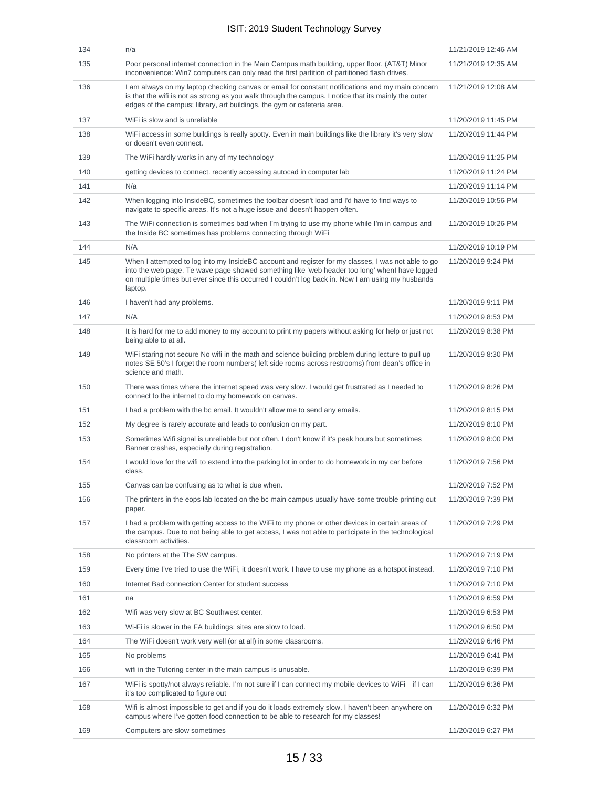| 134 | n/a                                                                                                                                                                                                                                                                                                                | 11/21/2019 12:46 AM |
|-----|--------------------------------------------------------------------------------------------------------------------------------------------------------------------------------------------------------------------------------------------------------------------------------------------------------------------|---------------------|
| 135 | Poor personal internet connection in the Main Campus math building, upper floor. (AT&T) Minor<br>inconvenience: Win7 computers can only read the first partition of partitioned flash drives.                                                                                                                      | 11/21/2019 12:35 AM |
| 136 | I am always on my laptop checking canvas or email for constant notifications and my main concern<br>is that the wifi is not as strong as you walk through the campus. I notice that its mainly the outer<br>edges of the campus; library, art buildings, the gym or cafeteria area.                                | 11/21/2019 12:08 AM |
| 137 | WiFi is slow and is unreliable                                                                                                                                                                                                                                                                                     | 11/20/2019 11:45 PM |
| 138 | WiFi access in some buildings is really spotty. Even in main buildings like the library it's very slow<br>or doesn't even connect.                                                                                                                                                                                 | 11/20/2019 11:44 PM |
| 139 | The WiFi hardly works in any of my technology                                                                                                                                                                                                                                                                      | 11/20/2019 11:25 PM |
| 140 | getting devices to connect. recently accessing autocad in computer lab                                                                                                                                                                                                                                             | 11/20/2019 11:24 PM |
| 141 | N/a                                                                                                                                                                                                                                                                                                                | 11/20/2019 11:14 PM |
| 142 | When logging into InsideBC, sometimes the toolbar doesn't load and I'd have to find ways to<br>navigate to specific areas. It's not a huge issue and doesn't happen often.                                                                                                                                         | 11/20/2019 10:56 PM |
| 143 | The WiFi connection is sometimes bad when I'm trying to use my phone while I'm in campus and<br>the Inside BC sometimes has problems connecting through WiFi                                                                                                                                                       | 11/20/2019 10:26 PM |
| 144 | N/A                                                                                                                                                                                                                                                                                                                | 11/20/2019 10:19 PM |
| 145 | When I attempted to log into my InsideBC account and register for my classes, I was not able to go<br>into the web page. Te wave page showed something like 'web header too long' when have logged<br>on multiple times but ever since this occurred I couldn't log back in. Now I am using my husbands<br>laptop. | 11/20/2019 9:24 PM  |
| 146 | I haven't had any problems.                                                                                                                                                                                                                                                                                        | 11/20/2019 9:11 PM  |
| 147 | N/A                                                                                                                                                                                                                                                                                                                | 11/20/2019 8:53 PM  |
| 148 | It is hard for me to add money to my account to print my papers without asking for help or just not<br>being able to at all.                                                                                                                                                                                       | 11/20/2019 8:38 PM  |
| 149 | WiFi staring not secure No wifi in the math and science building problem during lecture to pull up<br>notes SE 50's I forget the room numbers(left side rooms across restrooms) from dean's office in<br>science and math.                                                                                         | 11/20/2019 8:30 PM  |
| 150 | There was times where the internet speed was very slow. I would get frustrated as I needed to<br>connect to the internet to do my homework on canvas.                                                                                                                                                              | 11/20/2019 8:26 PM  |
| 151 | I had a problem with the bc email. It wouldn't allow me to send any emails.                                                                                                                                                                                                                                        | 11/20/2019 8:15 PM  |
| 152 | My degree is rarely accurate and leads to confusion on my part.                                                                                                                                                                                                                                                    | 11/20/2019 8:10 PM  |
| 153 | Sometimes Wifi signal is unreliable but not often. I don't know if it's peak hours but sometimes<br>Banner crashes, especially during registration.                                                                                                                                                                | 11/20/2019 8:00 PM  |
| 154 | I would love for the wifi to extend into the parking lot in order to do homework in my car before<br>class.                                                                                                                                                                                                        | 11/20/2019 7:56 PM  |
| 155 | Canvas can be confusing as to what is due when.                                                                                                                                                                                                                                                                    | 11/20/2019 7:52 PM  |
| 156 | The printers in the eops lab located on the bc main campus usually have some trouble printing out<br>paper.                                                                                                                                                                                                        | 11/20/2019 7:39 PM  |
| 157 | I had a problem with getting access to the WiFi to my phone or other devices in certain areas of<br>the campus. Due to not being able to get access, I was not able to participate in the technological<br>classroom activities.                                                                                   | 11/20/2019 7:29 PM  |
| 158 | No printers at the The SW campus.                                                                                                                                                                                                                                                                                  | 11/20/2019 7:19 PM  |
| 159 | Every time I've tried to use the WiFi, it doesn't work. I have to use my phone as a hotspot instead.                                                                                                                                                                                                               | 11/20/2019 7:10 PM  |
| 160 | Internet Bad connection Center for student success                                                                                                                                                                                                                                                                 | 11/20/2019 7:10 PM  |
| 161 | na                                                                                                                                                                                                                                                                                                                 | 11/20/2019 6:59 PM  |
| 162 | Wifi was very slow at BC Southwest center.                                                                                                                                                                                                                                                                         | 11/20/2019 6:53 PM  |
| 163 | Wi-Fi is slower in the FA buildings; sites are slow to load.                                                                                                                                                                                                                                                       | 11/20/2019 6:50 PM  |
| 164 | The WiFi doesn't work very well (or at all) in some classrooms.                                                                                                                                                                                                                                                    | 11/20/2019 6:46 PM  |
| 165 | No problems                                                                                                                                                                                                                                                                                                        | 11/20/2019 6:41 PM  |
| 166 | wifi in the Tutoring center in the main campus is unusable.                                                                                                                                                                                                                                                        | 11/20/2019 6:39 PM  |
| 167 | WiFi is spotty/not always reliable. I'm not sure if I can connect my mobile devices to WiFi—if I can<br>it's too complicated to figure out                                                                                                                                                                         | 11/20/2019 6:36 PM  |
| 168 | Wifi is almost impossible to get and if you do it loads extremely slow. I haven't been anywhere on<br>campus where I've gotten food connection to be able to research for my classes!                                                                                                                              | 11/20/2019 6:32 PM  |
| 169 | Computers are slow sometimes                                                                                                                                                                                                                                                                                       | 11/20/2019 6:27 PM  |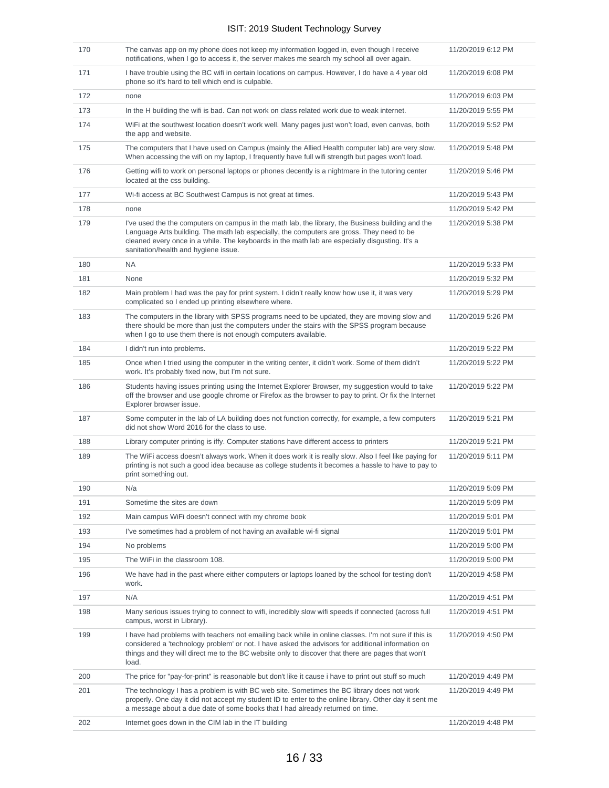| 170 | The canvas app on my phone does not keep my information logged in, even though I receive<br>notifications, when I go to access it, the server makes me search my school all over again.                                                                                                                                                  | 11/20/2019 6:12 PM |
|-----|------------------------------------------------------------------------------------------------------------------------------------------------------------------------------------------------------------------------------------------------------------------------------------------------------------------------------------------|--------------------|
| 171 | I have trouble using the BC wifi in certain locations on campus. However, I do have a 4 year old<br>phone so it's hard to tell which end is culpable.                                                                                                                                                                                    | 11/20/2019 6:08 PM |
| 172 | none                                                                                                                                                                                                                                                                                                                                     | 11/20/2019 6:03 PM |
| 173 | In the H building the wifi is bad. Can not work on class related work due to weak internet.                                                                                                                                                                                                                                              | 11/20/2019 5:55 PM |
| 174 | WiFi at the southwest location doesn't work well. Many pages just won't load, even canvas, both<br>the app and website.                                                                                                                                                                                                                  | 11/20/2019 5:52 PM |
| 175 | The computers that I have used on Campus (mainly the Allied Health computer lab) are very slow.<br>When accessing the wifi on my laptop, I frequently have full wifi strength but pages won't load.                                                                                                                                      | 11/20/2019 5:48 PM |
| 176 | Getting wifi to work on personal laptops or phones decently is a nightmare in the tutoring center<br>located at the css building.                                                                                                                                                                                                        | 11/20/2019 5:46 PM |
| 177 | Wi-fi access at BC Southwest Campus is not great at times.                                                                                                                                                                                                                                                                               | 11/20/2019 5:43 PM |
| 178 | none                                                                                                                                                                                                                                                                                                                                     | 11/20/2019 5:42 PM |
| 179 | I've used the the computers on campus in the math lab, the library, the Business building and the<br>Language Arts building. The math lab especially, the computers are gross. They need to be<br>cleaned every once in a while. The keyboards in the math lab are especially disgusting. It's a<br>sanitation/health and hygiene issue. | 11/20/2019 5:38 PM |
| 180 | <b>NA</b>                                                                                                                                                                                                                                                                                                                                | 11/20/2019 5:33 PM |
| 181 | None                                                                                                                                                                                                                                                                                                                                     | 11/20/2019 5:32 PM |
| 182 | Main problem I had was the pay for print system. I didn't really know how use it, it was very<br>complicated so I ended up printing elsewhere where.                                                                                                                                                                                     | 11/20/2019 5:29 PM |
| 183 | The computers in the library with SPSS programs need to be updated, they are moving slow and<br>there should be more than just the computers under the stairs with the SPSS program because<br>when I go to use them there is not enough computers available.                                                                            | 11/20/2019 5:26 PM |
| 184 | I didn't run into problems.                                                                                                                                                                                                                                                                                                              | 11/20/2019 5:22 PM |
| 185 | Once when I tried using the computer in the writing center, it didn't work. Some of them didn't<br>work. It's probably fixed now, but I'm not sure.                                                                                                                                                                                      | 11/20/2019 5:22 PM |
| 186 | Students having issues printing using the Internet Explorer Browser, my suggestion would to take<br>off the browser and use google chrome or Firefox as the browser to pay to print. Or fix the Internet<br>Explorer browser issue.                                                                                                      | 11/20/2019 5:22 PM |
| 187 | Some computer in the lab of LA building does not function correctly, for example, a few computers<br>did not show Word 2016 for the class to use.                                                                                                                                                                                        | 11/20/2019 5:21 PM |
| 188 | Library computer printing is iffy. Computer stations have different access to printers                                                                                                                                                                                                                                                   | 11/20/2019 5:21 PM |
| 189 | The WiFi access doesn't always work. When it does work it is really slow. Also I feel like paying for<br>printing is not such a good idea because as college students it becomes a hassle to have to pay to<br>print something out.                                                                                                      | 11/20/2019 5:11 PM |
| 190 | N/a                                                                                                                                                                                                                                                                                                                                      | 11/20/2019 5:09 PM |
| 191 | Sometime the sites are down                                                                                                                                                                                                                                                                                                              | 11/20/2019 5:09 PM |
| 192 | Main campus WiFi doesn't connect with my chrome book                                                                                                                                                                                                                                                                                     | 11/20/2019 5:01 PM |
| 193 | I've sometimes had a problem of not having an available wi-fi signal                                                                                                                                                                                                                                                                     | 11/20/2019 5:01 PM |
| 194 | No problems                                                                                                                                                                                                                                                                                                                              | 11/20/2019 5:00 PM |
| 195 | The WiFi in the classroom 108.                                                                                                                                                                                                                                                                                                           | 11/20/2019 5:00 PM |
| 196 | We have had in the past where either computers or laptops loaned by the school for testing don't<br>work.                                                                                                                                                                                                                                | 11/20/2019 4:58 PM |
| 197 | N/A                                                                                                                                                                                                                                                                                                                                      | 11/20/2019 4:51 PM |
| 198 | Many serious issues trying to connect to wifi, incredibly slow wifi speeds if connected (across full<br>campus, worst in Library).                                                                                                                                                                                                       | 11/20/2019 4:51 PM |
| 199 | I have had problems with teachers not emailing back while in online classes. I'm not sure if this is<br>considered a 'technology problem' or not. I have asked the advisors for additional information on<br>things and they will direct me to the BC website only to discover that there are pages that won't<br>load.                  | 11/20/2019 4:50 PM |
| 200 | The price for "pay-for-print" is reasonable but don't like it cause i have to print out stuff so much                                                                                                                                                                                                                                    | 11/20/2019 4:49 PM |
| 201 | The technology I has a problem is with BC web site. Sometimes the BC library does not work<br>properly. One day it did not accept my student ID to enter to the online library. Other day it sent me<br>a message about a due date of some books that I had already returned on time.                                                    | 11/20/2019 4:49 PM |
| 202 | Internet goes down in the CIM lab in the IT building                                                                                                                                                                                                                                                                                     | 11/20/2019 4:48 PM |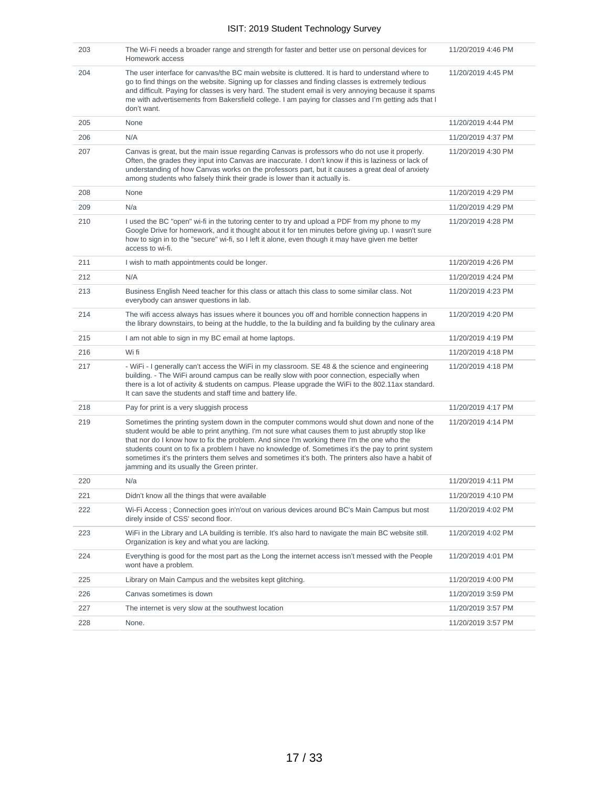| 203 | The Wi-Fi needs a broader range and strength for faster and better use on personal devices for<br>Homework access                                                                                                                                                                                                                                                                                                                                                                                                                                      | 11/20/2019 4:46 PM |
|-----|--------------------------------------------------------------------------------------------------------------------------------------------------------------------------------------------------------------------------------------------------------------------------------------------------------------------------------------------------------------------------------------------------------------------------------------------------------------------------------------------------------------------------------------------------------|--------------------|
| 204 | The user interface for canvas/the BC main website is cluttered. It is hard to understand where to<br>go to find things on the website. Signing up for classes and finding classes is extremely tedious<br>and difficult. Paying for classes is very hard. The student email is very annoying because it spams<br>me with advertisements from Bakersfield college. I am paying for classes and I'm getting ads that I<br>don't want.                                                                                                                    | 11/20/2019 4:45 PM |
| 205 | None                                                                                                                                                                                                                                                                                                                                                                                                                                                                                                                                                   | 11/20/2019 4:44 PM |
| 206 | N/A                                                                                                                                                                                                                                                                                                                                                                                                                                                                                                                                                    | 11/20/2019 4:37 PM |
| 207 | Canvas is great, but the main issue regarding Canvas is professors who do not use it properly.<br>Often, the grades they input into Canvas are inaccurate. I don't know if this is laziness or lack of<br>understanding of how Canvas works on the professors part, but it causes a great deal of anxiety<br>among students who falsely think their grade is lower than it actually is.                                                                                                                                                                | 11/20/2019 4:30 PM |
| 208 | None                                                                                                                                                                                                                                                                                                                                                                                                                                                                                                                                                   | 11/20/2019 4:29 PM |
| 209 | N/a                                                                                                                                                                                                                                                                                                                                                                                                                                                                                                                                                    | 11/20/2019 4:29 PM |
| 210 | I used the BC "open" wi-fi in the tutoring center to try and upload a PDF from my phone to my<br>Google Drive for homework, and it thought about it for ten minutes before giving up. I wasn't sure<br>how to sign in to the "secure" wi-fi, so I left it alone, even though it may have given me better<br>access to wi-fi.                                                                                                                                                                                                                           | 11/20/2019 4:28 PM |
| 211 | I wish to math appointments could be longer.                                                                                                                                                                                                                                                                                                                                                                                                                                                                                                           | 11/20/2019 4:26 PM |
| 212 | N/A                                                                                                                                                                                                                                                                                                                                                                                                                                                                                                                                                    | 11/20/2019 4:24 PM |
| 213 | Business English Need teacher for this class or attach this class to some similar class. Not<br>everybody can answer questions in lab.                                                                                                                                                                                                                                                                                                                                                                                                                 | 11/20/2019 4:23 PM |
| 214 | The wifi access always has issues where it bounces you off and horrible connection happens in<br>the library downstairs, to being at the huddle, to the la building and fa building by the culinary area                                                                                                                                                                                                                                                                                                                                               | 11/20/2019 4:20 PM |
| 215 | I am not able to sign in my BC email at home laptops.                                                                                                                                                                                                                                                                                                                                                                                                                                                                                                  | 11/20/2019 4:19 PM |
| 216 | Wi fi                                                                                                                                                                                                                                                                                                                                                                                                                                                                                                                                                  | 11/20/2019 4:18 PM |
| 217 | - WiFi - I generally can't access the WiFi in my classroom. SE 48 & the science and engineering<br>building. - The WiFi around campus can be really slow with poor connection, especially when<br>there is a lot of activity & students on campus. Please upgrade the WiFi to the 802.11ax standard.<br>It can save the students and staff time and battery life.                                                                                                                                                                                      | 11/20/2019 4:18 PM |
| 218 | Pay for print is a very sluggish process                                                                                                                                                                                                                                                                                                                                                                                                                                                                                                               | 11/20/2019 4:17 PM |
| 219 | Sometimes the printing system down in the computer commons would shut down and none of the<br>student would be able to print anything. I'm not sure what causes them to just abruptly stop like<br>that nor do I know how to fix the problem. And since I'm working there I'm the one who the<br>students count on to fix a problem I have no knowledge of. Sometimes it's the pay to print system<br>sometimes it's the printers them selves and sometimes it's both. The printers also have a habit of<br>jamming and its usually the Green printer. | 11/20/2019 4:14 PM |
| 220 | N/a                                                                                                                                                                                                                                                                                                                                                                                                                                                                                                                                                    | 11/20/2019 4:11 PM |
| 221 | Didn't know all the things that were available                                                                                                                                                                                                                                                                                                                                                                                                                                                                                                         | 11/20/2019 4:10 PM |
| 222 | Wi-Fi Access ; Connection goes in'n'out on various devices around BC's Main Campus but most<br>direly inside of CSS' second floor.                                                                                                                                                                                                                                                                                                                                                                                                                     | 11/20/2019 4:02 PM |
| 223 | WiFi in the Library and LA building is terrible. It's also hard to navigate the main BC website still.<br>Organization is key and what you are lacking.                                                                                                                                                                                                                                                                                                                                                                                                | 11/20/2019 4:02 PM |
| 224 | Everything is good for the most part as the Long the internet access isn't messed with the People<br>wont have a problem.                                                                                                                                                                                                                                                                                                                                                                                                                              | 11/20/2019 4:01 PM |
| 225 | Library on Main Campus and the websites kept glitching.                                                                                                                                                                                                                                                                                                                                                                                                                                                                                                | 11/20/2019 4:00 PM |
| 226 | Canvas sometimes is down                                                                                                                                                                                                                                                                                                                                                                                                                                                                                                                               | 11/20/2019 3:59 PM |
| 227 | The internet is very slow at the southwest location                                                                                                                                                                                                                                                                                                                                                                                                                                                                                                    | 11/20/2019 3:57 PM |
| 228 | None.                                                                                                                                                                                                                                                                                                                                                                                                                                                                                                                                                  | 11/20/2019 3:57 PM |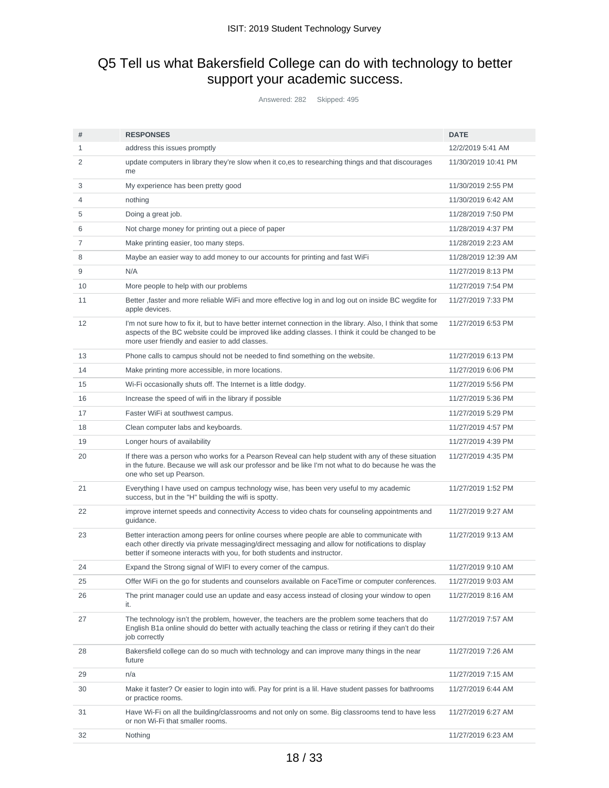# Q5 Tell us what Bakersfield College can do with technology to better support your academic success.

Answered: 282 Skipped: 495

| #  | <b>RESPONSES</b>                                                                                                                                                                                                                                                            | <b>DATE</b>         |
|----|-----------------------------------------------------------------------------------------------------------------------------------------------------------------------------------------------------------------------------------------------------------------------------|---------------------|
| 1  | address this issues promptly                                                                                                                                                                                                                                                | 12/2/2019 5:41 AM   |
| 2  | update computers in library they're slow when it co, es to researching things and that discourages<br>me                                                                                                                                                                    | 11/30/2019 10:41 PM |
| 3  | My experience has been pretty good                                                                                                                                                                                                                                          | 11/30/2019 2:55 PM  |
| 4  | nothing                                                                                                                                                                                                                                                                     | 11/30/2019 6:42 AM  |
| 5  | Doing a great job.                                                                                                                                                                                                                                                          | 11/28/2019 7:50 PM  |
| 6  | Not charge money for printing out a piece of paper                                                                                                                                                                                                                          | 11/28/2019 4:37 PM  |
| 7  | Make printing easier, too many steps.                                                                                                                                                                                                                                       | 11/28/2019 2:23 AM  |
| 8  | Maybe an easier way to add money to our accounts for printing and fast WiFi                                                                                                                                                                                                 | 11/28/2019 12:39 AM |
| 9  | N/A                                                                                                                                                                                                                                                                         | 11/27/2019 8:13 PM  |
| 10 | More people to help with our problems                                                                                                                                                                                                                                       | 11/27/2019 7:54 PM  |
| 11 | Better , faster and more reliable WiFi and more effective log in and log out on inside BC wegdite for<br>apple devices.                                                                                                                                                     | 11/27/2019 7:33 PM  |
| 12 | I'm not sure how to fix it, but to have better internet connection in the library. Also, I think that some<br>aspects of the BC website could be improved like adding classes. I think it could be changed to be<br>more user friendly and easier to add classes.           | 11/27/2019 6:53 PM  |
| 13 | Phone calls to campus should not be needed to find something on the website.                                                                                                                                                                                                | 11/27/2019 6:13 PM  |
| 14 | Make printing more accessible, in more locations.                                                                                                                                                                                                                           | 11/27/2019 6:06 PM  |
| 15 | Wi-Fi occasionally shuts off. The Internet is a little dodgy.                                                                                                                                                                                                               | 11/27/2019 5:56 PM  |
| 16 | Increase the speed of wifi in the library if possible                                                                                                                                                                                                                       | 11/27/2019 5:36 PM  |
| 17 | Faster WiFi at southwest campus.                                                                                                                                                                                                                                            | 11/27/2019 5:29 PM  |
| 18 | Clean computer labs and keyboards.                                                                                                                                                                                                                                          | 11/27/2019 4:57 PM  |
| 19 | Longer hours of availability                                                                                                                                                                                                                                                | 11/27/2019 4:39 PM  |
| 20 | If there was a person who works for a Pearson Reveal can help student with any of these situation<br>in the future. Because we will ask our professor and be like I'm not what to do because he was the<br>one who set up Pearson.                                          | 11/27/2019 4:35 PM  |
| 21 | Everything I have used on campus technology wise, has been very useful to my academic<br>success, but in the "H" building the wifi is spotty.                                                                                                                               | 11/27/2019 1:52 PM  |
| 22 | improve internet speeds and connectivity Access to video chats for counseling appointments and<br>guidance.                                                                                                                                                                 | 11/27/2019 9:27 AM  |
| 23 | Better interaction among peers for online courses where people are able to communicate with<br>each other directly via private messaging/direct messaging and allow for notifications to display<br>better if someone interacts with you, for both students and instructor. | 11/27/2019 9:13 AM  |
| 24 | Expand the Strong signal of WIFI to every corner of the campus.                                                                                                                                                                                                             | 11/27/2019 9:10 AM  |
| 25 | Offer WiFi on the go for students and counselors available on FaceTime or computer conferences.                                                                                                                                                                             | 11/27/2019 9:03 AM  |
| 26 | The print manager could use an update and easy access instead of closing your window to open<br>it.                                                                                                                                                                         | 11/27/2019 8:16 AM  |
| 27 | The technology isn't the problem, however, the teachers are the problem some teachers that do<br>English B1a online should do better with actually teaching the class or retiring if they can't do their<br>job correctly                                                   | 11/27/2019 7:57 AM  |
| 28 | Bakersfield college can do so much with technology and can improve many things in the near<br>future                                                                                                                                                                        | 11/27/2019 7:26 AM  |
| 29 | n/a                                                                                                                                                                                                                                                                         | 11/27/2019 7:15 AM  |
| 30 | Make it faster? Or easier to login into wifi. Pay for print is a lil. Have student passes for bathrooms<br>or practice rooms.                                                                                                                                               | 11/27/2019 6:44 AM  |
| 31 | Have Wi-Fi on all the building/classrooms and not only on some. Big classrooms tend to have less<br>or non Wi-Fi that smaller rooms.                                                                                                                                        | 11/27/2019 6:27 AM  |
| 32 | Nothing                                                                                                                                                                                                                                                                     | 11/27/2019 6:23 AM  |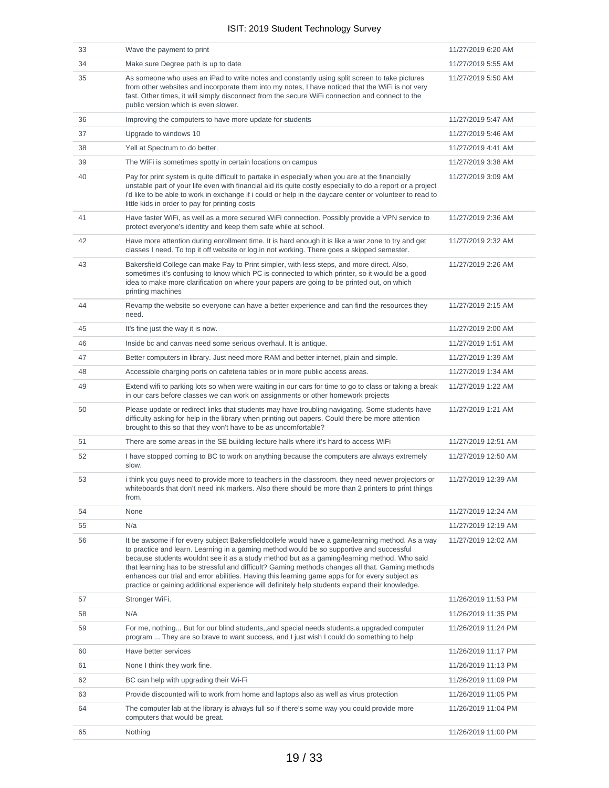| 33 | Wave the payment to print                                                                                                                                                                                                                                                                                                                                                                                                                                                                                                                                                                             | 11/27/2019 6:20 AM  |
|----|-------------------------------------------------------------------------------------------------------------------------------------------------------------------------------------------------------------------------------------------------------------------------------------------------------------------------------------------------------------------------------------------------------------------------------------------------------------------------------------------------------------------------------------------------------------------------------------------------------|---------------------|
| 34 | Make sure Degree path is up to date                                                                                                                                                                                                                                                                                                                                                                                                                                                                                                                                                                   | 11/27/2019 5:55 AM  |
| 35 | As someone who uses an iPad to write notes and constantly using split screen to take pictures<br>from other websites and incorporate them into my notes, I have noticed that the WiFi is not very<br>fast. Other times, it will simply disconnect from the secure WiFi connection and connect to the<br>public version which is even slower.                                                                                                                                                                                                                                                          | 11/27/2019 5:50 AM  |
| 36 | Improving the computers to have more update for students                                                                                                                                                                                                                                                                                                                                                                                                                                                                                                                                              | 11/27/2019 5:47 AM  |
| 37 | Upgrade to windows 10                                                                                                                                                                                                                                                                                                                                                                                                                                                                                                                                                                                 | 11/27/2019 5:46 AM  |
| 38 | Yell at Spectrum to do better.                                                                                                                                                                                                                                                                                                                                                                                                                                                                                                                                                                        | 11/27/2019 4:41 AM  |
| 39 | The WiFi is sometimes spotty in certain locations on campus                                                                                                                                                                                                                                                                                                                                                                                                                                                                                                                                           | 11/27/2019 3:38 AM  |
| 40 | Pay for print system is quite difficult to partake in especially when you are at the financially<br>unstable part of your life even with financial aid its quite costly especially to do a report or a project<br>i'd like to be able to work in exchange if i could or help in the daycare center or volunteer to read to<br>little kids in order to pay for printing costs                                                                                                                                                                                                                          | 11/27/2019 3:09 AM  |
| 41 | Have faster WiFi, as well as a more secured WiFi connection. Possibly provide a VPN service to<br>protect everyone's identity and keep them safe while at school.                                                                                                                                                                                                                                                                                                                                                                                                                                     | 11/27/2019 2:36 AM  |
| 42 | Have more attention during enrollment time. It is hard enough it is like a war zone to try and get<br>classes I need. To top it off website or log in not working. There goes a skipped semester.                                                                                                                                                                                                                                                                                                                                                                                                     | 11/27/2019 2:32 AM  |
| 43 | Bakersfield College can make Pay to Print simpler, with less steps, and more direct. Also,<br>sometimes it's confusing to know which PC is connected to which printer, so it would be a good<br>idea to make more clarification on where your papers are going to be printed out, on which<br>printing machines                                                                                                                                                                                                                                                                                       | 11/27/2019 2:26 AM  |
| 44 | Revamp the website so everyone can have a better experience and can find the resources they<br>need.                                                                                                                                                                                                                                                                                                                                                                                                                                                                                                  | 11/27/2019 2:15 AM  |
| 45 | It's fine just the way it is now.                                                                                                                                                                                                                                                                                                                                                                                                                                                                                                                                                                     | 11/27/2019 2:00 AM  |
| 46 | Inside bc and canvas need some serious overhaul. It is antique.                                                                                                                                                                                                                                                                                                                                                                                                                                                                                                                                       | 11/27/2019 1:51 AM  |
| 47 | Better computers in library. Just need more RAM and better internet, plain and simple.                                                                                                                                                                                                                                                                                                                                                                                                                                                                                                                | 11/27/2019 1:39 AM  |
| 48 | Accessible charging ports on cafeteria tables or in more public access areas.                                                                                                                                                                                                                                                                                                                                                                                                                                                                                                                         | 11/27/2019 1:34 AM  |
| 49 | Extend wifi to parking lots so when were waiting in our cars for time to go to class or taking a break<br>in our cars before classes we can work on assignments or other homework projects                                                                                                                                                                                                                                                                                                                                                                                                            | 11/27/2019 1:22 AM  |
| 50 | Please update or redirect links that students may have troubling navigating. Some students have<br>difficulty asking for help in the library when printing out papers. Could there be more attention<br>brought to this so that they won't have to be as uncomfortable?                                                                                                                                                                                                                                                                                                                               | 11/27/2019 1:21 AM  |
| 51 | There are some areas in the SE building lecture halls where it's hard to access WiFi                                                                                                                                                                                                                                                                                                                                                                                                                                                                                                                  | 11/27/2019 12:51 AM |
| 52 | I have stopped coming to BC to work on anything because the computers are always extremely<br>slow.                                                                                                                                                                                                                                                                                                                                                                                                                                                                                                   | 11/27/2019 12:50 AM |
| 53 | i think you guys need to provide more to teachers in the classroom, they need newer projectors or<br>whiteboards that don't need ink markers. Also there should be more than 2 printers to print things<br>from.                                                                                                                                                                                                                                                                                                                                                                                      | 11/27/2019 12:39 AM |
| 54 | None                                                                                                                                                                                                                                                                                                                                                                                                                                                                                                                                                                                                  | 11/27/2019 12:24 AM |
| 55 | N/a                                                                                                                                                                                                                                                                                                                                                                                                                                                                                                                                                                                                   | 11/27/2019 12:19 AM |
| 56 | It be awsome if for every subject Bakersfieldcollefe would have a game/learning method. As a way<br>to practice and learn. Learning in a gaming method would be so supportive and successful<br>because students wouldnt see it as a study method but as a gaming/learning method. Who said<br>that learning has to be stressful and difficult? Gaming methods changes all that. Gaming methods<br>enhances our trial and error abilities. Having this learning game apps for for every subject as<br>practice or gaining additional experience will definitely help students expand their knowledge. | 11/27/2019 12:02 AM |
| 57 | Stronger WiFi.                                                                                                                                                                                                                                                                                                                                                                                                                                                                                                                                                                                        | 11/26/2019 11:53 PM |
| 58 | N/A                                                                                                                                                                                                                                                                                                                                                                                                                                                                                                                                                                                                   | 11/26/2019 11:35 PM |
| 59 | For me, nothing But for our blind students, and special needs students.a upgraded computer<br>program  They are so brave to want success, and I just wish I could do something to help                                                                                                                                                                                                                                                                                                                                                                                                                | 11/26/2019 11:24 PM |
| 60 | Have better services                                                                                                                                                                                                                                                                                                                                                                                                                                                                                                                                                                                  | 11/26/2019 11:17 PM |
| 61 | None I think they work fine.                                                                                                                                                                                                                                                                                                                                                                                                                                                                                                                                                                          | 11/26/2019 11:13 PM |
| 62 | BC can help with upgrading their Wi-Fi                                                                                                                                                                                                                                                                                                                                                                                                                                                                                                                                                                | 11/26/2019 11:09 PM |
| 63 | Provide discounted wifi to work from home and laptops also as well as virus protection                                                                                                                                                                                                                                                                                                                                                                                                                                                                                                                | 11/26/2019 11:05 PM |
| 64 | The computer lab at the library is always full so if there's some way you could provide more<br>computers that would be great.                                                                                                                                                                                                                                                                                                                                                                                                                                                                        | 11/26/2019 11:04 PM |
| 65 | Nothing                                                                                                                                                                                                                                                                                                                                                                                                                                                                                                                                                                                               | 11/26/2019 11:00 PM |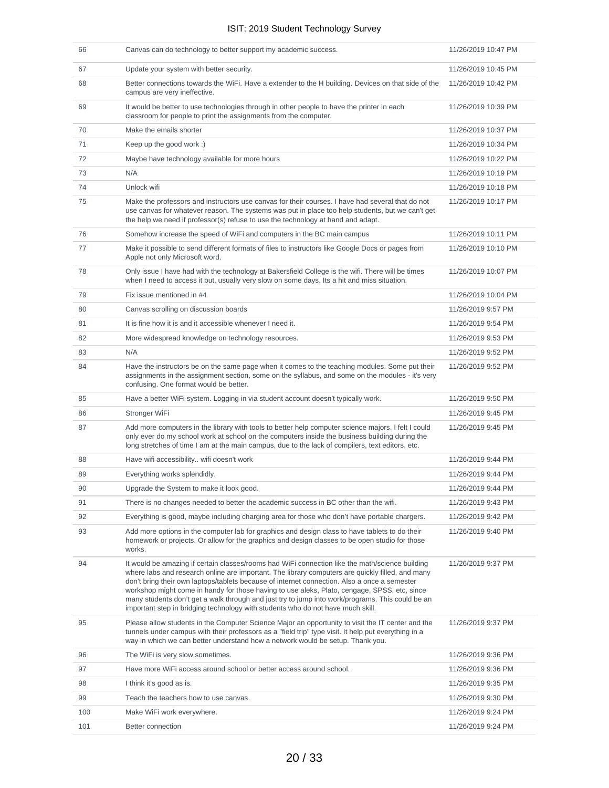| 66  | Canvas can do technology to better support my academic success.                                                                                                                                                                                                                                                                                                                                                                                                                                                                                                                            | 11/26/2019 10:47 PM |
|-----|--------------------------------------------------------------------------------------------------------------------------------------------------------------------------------------------------------------------------------------------------------------------------------------------------------------------------------------------------------------------------------------------------------------------------------------------------------------------------------------------------------------------------------------------------------------------------------------------|---------------------|
| 67  | Update your system with better security.                                                                                                                                                                                                                                                                                                                                                                                                                                                                                                                                                   | 11/26/2019 10:45 PM |
| 68  | Better connections towards the WiFi. Have a extender to the H building. Devices on that side of the<br>campus are very ineffective.                                                                                                                                                                                                                                                                                                                                                                                                                                                        | 11/26/2019 10:42 PM |
| 69  | It would be better to use technologies through in other people to have the printer in each<br>classroom for people to print the assignments from the computer.                                                                                                                                                                                                                                                                                                                                                                                                                             | 11/26/2019 10:39 PM |
| 70  | Make the emails shorter                                                                                                                                                                                                                                                                                                                                                                                                                                                                                                                                                                    | 11/26/2019 10:37 PM |
| 71  | Keep up the good work :)                                                                                                                                                                                                                                                                                                                                                                                                                                                                                                                                                                   | 11/26/2019 10:34 PM |
| 72  | Maybe have technology available for more hours                                                                                                                                                                                                                                                                                                                                                                                                                                                                                                                                             | 11/26/2019 10:22 PM |
| 73  | N/A                                                                                                                                                                                                                                                                                                                                                                                                                                                                                                                                                                                        | 11/26/2019 10:19 PM |
| 74  | Unlock wifi                                                                                                                                                                                                                                                                                                                                                                                                                                                                                                                                                                                | 11/26/2019 10:18 PM |
| 75  | Make the professors and instructors use canvas for their courses. I have had several that do not<br>use canvas for whatever reason. The systems was put in place too help students, but we can't get<br>the help we need if professor(s) refuse to use the technology at hand and adapt.                                                                                                                                                                                                                                                                                                   | 11/26/2019 10:17 PM |
| 76  | Somehow increase the speed of WiFi and computers in the BC main campus                                                                                                                                                                                                                                                                                                                                                                                                                                                                                                                     | 11/26/2019 10:11 PM |
| 77  | Make it possible to send different formats of files to instructors like Google Docs or pages from<br>Apple not only Microsoft word.                                                                                                                                                                                                                                                                                                                                                                                                                                                        | 11/26/2019 10:10 PM |
| 78  | Only issue I have had with the technology at Bakersfield College is the wifi. There will be times<br>when I need to access it but, usually very slow on some days. Its a hit and miss situation.                                                                                                                                                                                                                                                                                                                                                                                           | 11/26/2019 10:07 PM |
| 79  | Fix issue mentioned in #4                                                                                                                                                                                                                                                                                                                                                                                                                                                                                                                                                                  | 11/26/2019 10:04 PM |
| 80  | Canvas scrolling on discussion boards                                                                                                                                                                                                                                                                                                                                                                                                                                                                                                                                                      | 11/26/2019 9:57 PM  |
| 81  | It is fine how it is and it accessible whenever I need it.                                                                                                                                                                                                                                                                                                                                                                                                                                                                                                                                 | 11/26/2019 9:54 PM  |
| 82  | More widespread knowledge on technology resources.                                                                                                                                                                                                                                                                                                                                                                                                                                                                                                                                         | 11/26/2019 9:53 PM  |
| 83  | N/A                                                                                                                                                                                                                                                                                                                                                                                                                                                                                                                                                                                        | 11/26/2019 9:52 PM  |
| 84  | Have the instructors be on the same page when it comes to the teaching modules. Some put their<br>assignments in the assignment section, some on the syllabus, and some on the modules - it's very<br>confusing. One format would be better.                                                                                                                                                                                                                                                                                                                                               | 11/26/2019 9:52 PM  |
| 85  | Have a better WiFi system. Logging in via student account doesn't typically work.                                                                                                                                                                                                                                                                                                                                                                                                                                                                                                          | 11/26/2019 9:50 PM  |
| 86  | Stronger WiFi                                                                                                                                                                                                                                                                                                                                                                                                                                                                                                                                                                              | 11/26/2019 9:45 PM  |
| 87  | Add more computers in the library with tools to better help computer science majors. I felt I could<br>only ever do my school work at school on the computers inside the business building during the<br>long stretches of time I am at the main campus, due to the lack of compilers, text editors, etc.                                                                                                                                                                                                                                                                                  | 11/26/2019 9:45 PM  |
| 88  | Have wifi accessibility wifi doesn't work                                                                                                                                                                                                                                                                                                                                                                                                                                                                                                                                                  | 11/26/2019 9:44 PM  |
| 89  | Everything works splendidly.                                                                                                                                                                                                                                                                                                                                                                                                                                                                                                                                                               | 11/26/2019 9:44 PM  |
| 90  | Upgrade the System to make it look good.                                                                                                                                                                                                                                                                                                                                                                                                                                                                                                                                                   | 11/26/2019 9:44 PM  |
| 91  | There is no changes needed to better the academic success in BC other than the wifi.                                                                                                                                                                                                                                                                                                                                                                                                                                                                                                       | 11/26/2019 9:43 PM  |
| 92  | Everything is good, maybe including charging area for those who don't have portable chargers.                                                                                                                                                                                                                                                                                                                                                                                                                                                                                              | 11/26/2019 9:42 PM  |
| 93  | Add more options in the computer lab for graphics and design class to have tablets to do their<br>homework or projects. Or allow for the graphics and design classes to be open studio for those<br>works.                                                                                                                                                                                                                                                                                                                                                                                 | 11/26/2019 9:40 PM  |
| 94  | It would be amazing if certain classes/rooms had WiFi connection like the math/science building<br>where labs and research online are important. The library computers are quickly filled, and many<br>don't bring their own laptops/tablets because of internet connection. Also a once a semester<br>workshop might come in handy for those having to use aleks, Plato, cengage, SPSS, etc, since<br>many students don't get a walk through and just try to jump into work/programs. This could be an<br>important step in bridging technology with students who do not have much skill. | 11/26/2019 9:37 PM  |
| 95  | Please allow students in the Computer Science Major an opportunity to visit the IT center and the<br>tunnels under campus with their professors as a "field trip" type visit. It help put everything in a<br>way in which we can better understand how a network would be setup. Thank you.                                                                                                                                                                                                                                                                                                | 11/26/2019 9:37 PM  |
| 96  | The WiFi is very slow sometimes.                                                                                                                                                                                                                                                                                                                                                                                                                                                                                                                                                           | 11/26/2019 9:36 PM  |
| 97  | Have more WiFi access around school or better access around school.                                                                                                                                                                                                                                                                                                                                                                                                                                                                                                                        | 11/26/2019 9:36 PM  |
| 98  | I think it's good as is.                                                                                                                                                                                                                                                                                                                                                                                                                                                                                                                                                                   | 11/26/2019 9:35 PM  |
| 99  | Teach the teachers how to use canvas.                                                                                                                                                                                                                                                                                                                                                                                                                                                                                                                                                      | 11/26/2019 9:30 PM  |
| 100 | Make WiFi work everywhere.                                                                                                                                                                                                                                                                                                                                                                                                                                                                                                                                                                 | 11/26/2019 9:24 PM  |
| 101 | Better connection                                                                                                                                                                                                                                                                                                                                                                                                                                                                                                                                                                          | 11/26/2019 9:24 PM  |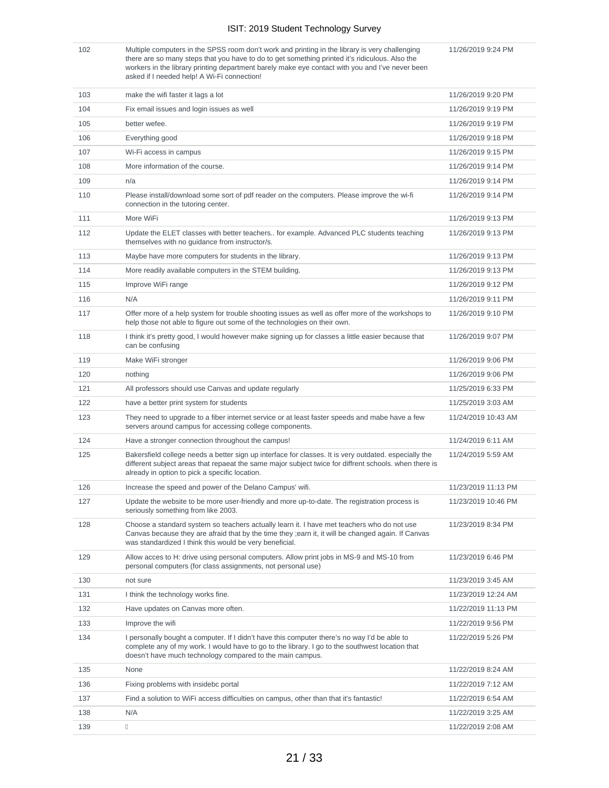102 Multiple computers in the SPSS room don't work and printing in the library is very challenging there are so many steps that you have to do to get something printed it's ridiculous. Also the workers in the library printing department barely make eye contact with you and I've never been asked if I needed help! A Wi-Fi connection!

11/26/2019 9:24 PM

| 103 | make the wifi faster it lags a lot                                                                                                                                                                                                                               | 11/26/2019 9:20 PM  |
|-----|------------------------------------------------------------------------------------------------------------------------------------------------------------------------------------------------------------------------------------------------------------------|---------------------|
| 104 | Fix email issues and login issues as well                                                                                                                                                                                                                        | 11/26/2019 9:19 PM  |
| 105 | better wefee.                                                                                                                                                                                                                                                    | 11/26/2019 9:19 PM  |
| 106 | Everything good                                                                                                                                                                                                                                                  | 11/26/2019 9:18 PM  |
| 107 | Wi-Fi access in campus                                                                                                                                                                                                                                           | 11/26/2019 9:15 PM  |
| 108 | More information of the course.                                                                                                                                                                                                                                  | 11/26/2019 9:14 PM  |
| 109 | n/a                                                                                                                                                                                                                                                              | 11/26/2019 9:14 PM  |
| 110 | Please install/download some sort of pdf reader on the computers. Please improve the wi-fi<br>connection in the tutoring center.                                                                                                                                 | 11/26/2019 9:14 PM  |
| 111 | More WiFi                                                                                                                                                                                                                                                        | 11/26/2019 9:13 PM  |
| 112 | Update the ELET classes with better teachers for example. Advanced PLC students teaching<br>themselves with no guidance from instructor/s.                                                                                                                       | 11/26/2019 9:13 PM  |
| 113 | Maybe have more computers for students in the library.                                                                                                                                                                                                           | 11/26/2019 9:13 PM  |
| 114 | More readily available computers in the STEM building.                                                                                                                                                                                                           | 11/26/2019 9:13 PM  |
| 115 | Improve WiFi range                                                                                                                                                                                                                                               | 11/26/2019 9:12 PM  |
| 116 | N/A                                                                                                                                                                                                                                                              | 11/26/2019 9:11 PM  |
| 117 | Offer more of a help system for trouble shooting issues as well as offer more of the workshops to<br>help those not able to figure out some of the technologies on their own.                                                                                    | 11/26/2019 9:10 PM  |
| 118 | I think it's pretty good, I would however make signing up for classes a little easier because that<br>can be confusing                                                                                                                                           | 11/26/2019 9:07 PM  |
| 119 | Make WiFi stronger                                                                                                                                                                                                                                               | 11/26/2019 9:06 PM  |
| 120 | nothing                                                                                                                                                                                                                                                          | 11/26/2019 9:06 PM  |
| 121 | All professors should use Canvas and update regularly                                                                                                                                                                                                            | 11/25/2019 6:33 PM  |
| 122 | have a better print system for students                                                                                                                                                                                                                          | 11/25/2019 3:03 AM  |
| 123 | They need to upgrade to a fiber internet service or at least faster speeds and mabe have a few<br>servers around campus for accessing college components.                                                                                                        | 11/24/2019 10:43 AM |
| 124 | Have a stronger connection throughout the campus!                                                                                                                                                                                                                | 11/24/2019 6:11 AM  |
| 125 | Bakersfield college needs a better sign up interface for classes. It is very outdated, especially the<br>different subject areas that repaeat the same major subject twice for diffrent schools. when there is<br>already in option to pick a specific location. | 11/24/2019 5:59 AM  |
| 126 | Increase the speed and power of the Delano Campus' wifi.                                                                                                                                                                                                         | 11/23/2019 11:13 PM |
| 127 | Update the website to be more user-friendly and more up-to-date. The registration process is<br>seriously something from like 2003.                                                                                                                              | 11/23/2019 10:46 PM |
| 128 | Choose a standard system so teachers actually learn it. I have met teachers who do not use<br>Canvas because they are afraid that by the time they ; earn it, it will be changed again. If Canvas<br>was standardized I think this would be very beneficial.     | 11/23/2019 8:34 PM  |
| 129 | Allow acces to H: drive using personal computers. Allow print jobs in MS-9 and MS-10 from<br>personal computers (for class assignments, not personal use)                                                                                                        | 11/23/2019 6:46 PM  |
| 130 | not sure                                                                                                                                                                                                                                                         | 11/23/2019 3:45 AM  |
| 131 | I think the technology works fine.                                                                                                                                                                                                                               | 11/23/2019 12:24 AM |
| 132 | Have updates on Canvas more often.                                                                                                                                                                                                                               | 11/22/2019 11:13 PM |
| 133 | Improve the wifi                                                                                                                                                                                                                                                 | 11/22/2019 9:56 PM  |
| 134 | I personally bought a computer. If I didn't have this computer there's no way I'd be able to<br>complete any of my work. I would have to go to the library. I go to the southwest location that<br>doesn't have much technology compared to the main campus.     | 11/22/2019 5:26 PM  |
| 135 | None                                                                                                                                                                                                                                                             | 11/22/2019 8:24 AM  |
| 136 | Fixing problems with insidebc portal                                                                                                                                                                                                                             | 11/22/2019 7:12 AM  |
| 137 | Find a solution to WiFi access difficulties on campus, other than that it's fantastic!                                                                                                                                                                           | 11/22/2019 6:54 AM  |
| 138 | N/A                                                                                                                                                                                                                                                              | 11/22/2019 3:25 AM  |
| 139 | П                                                                                                                                                                                                                                                                | 11/22/2019 2:08 AM  |
|     |                                                                                                                                                                                                                                                                  |                     |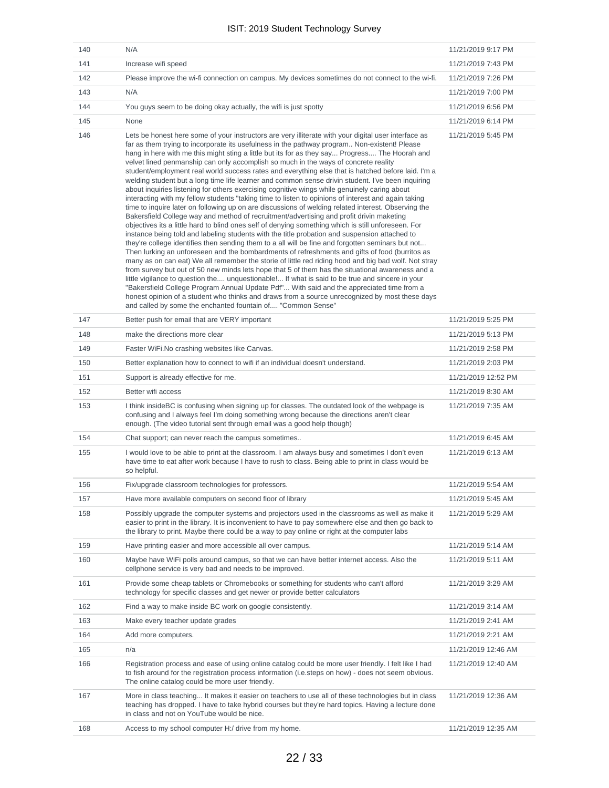| 140 | N/A                                                                                                                                                                                                                                                                                                                                                                                                                                                                                                                                                                                                                                                                                                                                                                                                                                                                                                                                                                                                                                                                                                                                                                                                                                                                                                                                                                                                                                                                                                                                                                                                                                                                                                                                                                                                                                                                                                                                                                                                            | 11/21/2019 9:17 PM  |
|-----|----------------------------------------------------------------------------------------------------------------------------------------------------------------------------------------------------------------------------------------------------------------------------------------------------------------------------------------------------------------------------------------------------------------------------------------------------------------------------------------------------------------------------------------------------------------------------------------------------------------------------------------------------------------------------------------------------------------------------------------------------------------------------------------------------------------------------------------------------------------------------------------------------------------------------------------------------------------------------------------------------------------------------------------------------------------------------------------------------------------------------------------------------------------------------------------------------------------------------------------------------------------------------------------------------------------------------------------------------------------------------------------------------------------------------------------------------------------------------------------------------------------------------------------------------------------------------------------------------------------------------------------------------------------------------------------------------------------------------------------------------------------------------------------------------------------------------------------------------------------------------------------------------------------------------------------------------------------------------------------------------------------|---------------------|
| 141 | Increase wifi speed                                                                                                                                                                                                                                                                                                                                                                                                                                                                                                                                                                                                                                                                                                                                                                                                                                                                                                                                                                                                                                                                                                                                                                                                                                                                                                                                                                                                                                                                                                                                                                                                                                                                                                                                                                                                                                                                                                                                                                                            | 11/21/2019 7:43 PM  |
| 142 | Please improve the wi-fi connection on campus. My devices sometimes do not connect to the wi-fi.                                                                                                                                                                                                                                                                                                                                                                                                                                                                                                                                                                                                                                                                                                                                                                                                                                                                                                                                                                                                                                                                                                                                                                                                                                                                                                                                                                                                                                                                                                                                                                                                                                                                                                                                                                                                                                                                                                               | 11/21/2019 7:26 PM  |
| 143 | N/A                                                                                                                                                                                                                                                                                                                                                                                                                                                                                                                                                                                                                                                                                                                                                                                                                                                                                                                                                                                                                                                                                                                                                                                                                                                                                                                                                                                                                                                                                                                                                                                                                                                                                                                                                                                                                                                                                                                                                                                                            | 11/21/2019 7:00 PM  |
| 144 | You guys seem to be doing okay actually, the wifi is just spotty                                                                                                                                                                                                                                                                                                                                                                                                                                                                                                                                                                                                                                                                                                                                                                                                                                                                                                                                                                                                                                                                                                                                                                                                                                                                                                                                                                                                                                                                                                                                                                                                                                                                                                                                                                                                                                                                                                                                               | 11/21/2019 6:56 PM  |
| 145 | None                                                                                                                                                                                                                                                                                                                                                                                                                                                                                                                                                                                                                                                                                                                                                                                                                                                                                                                                                                                                                                                                                                                                                                                                                                                                                                                                                                                                                                                                                                                                                                                                                                                                                                                                                                                                                                                                                                                                                                                                           | 11/21/2019 6:14 PM  |
| 146 | Lets be honest here some of your instructors are very illiterate with your digital user interface as<br>far as them trying to incorporate its usefulness in the pathway program Non-existent! Please<br>hang in here with me this might sting a little but its for as they say Progress The Hoorah and<br>velvet lined penmanship can only accomplish so much in the ways of concrete reality<br>student/employment real world success rates and everything else that is hatched before laid. I'm a<br>welding student but a long time life learner and common sense drivin student. I've been inquiring<br>about inquiries listening for others exercising cognitive wings while genuinely caring about<br>interacting with my fellow students "taking time to listen to opinions of interest and again taking<br>time to inquire later on following up on are discussions of welding related interest. Observing the<br>Bakersfield College way and method of recruitment/advertising and profit drivin maketing<br>objectives its a little hard to blind ones self of denying something which is still unforeseen. For<br>instance being told and labeling students with the title probation and suspension attached to<br>they're college identifies then sending them to a all will be fine and forgotten seminars but not<br>Then lurking an unforeseen and the bombardments of refreshments and gifts of food (burritos as<br>many as on can eat) We all remember the storie of little red riding hood and big bad wolf. Not stray<br>from survey but out of 50 new minds lets hope that 5 of them has the situational awareness and a<br>little vigilance to question the unquestionable! If what is said to be true and sincere in your<br>"Bakersfield College Program Annual Update Pdf" With said and the appreciated time from a<br>honest opinion of a student who thinks and draws from a source unrecognized by most these days<br>and called by some the enchanted fountain of "Common Sense" | 11/21/2019 5:45 PM  |
| 147 | Better push for email that are VERY important                                                                                                                                                                                                                                                                                                                                                                                                                                                                                                                                                                                                                                                                                                                                                                                                                                                                                                                                                                                                                                                                                                                                                                                                                                                                                                                                                                                                                                                                                                                                                                                                                                                                                                                                                                                                                                                                                                                                                                  | 11/21/2019 5:25 PM  |
| 148 | make the directions more clear                                                                                                                                                                                                                                                                                                                                                                                                                                                                                                                                                                                                                                                                                                                                                                                                                                                                                                                                                                                                                                                                                                                                                                                                                                                                                                                                                                                                                                                                                                                                                                                                                                                                                                                                                                                                                                                                                                                                                                                 | 11/21/2019 5:13 PM  |
| 149 | Faster WiFi. No crashing websites like Canvas.                                                                                                                                                                                                                                                                                                                                                                                                                                                                                                                                                                                                                                                                                                                                                                                                                                                                                                                                                                                                                                                                                                                                                                                                                                                                                                                                                                                                                                                                                                                                                                                                                                                                                                                                                                                                                                                                                                                                                                 | 11/21/2019 2:58 PM  |
| 150 | Better explanation how to connect to wifi if an individual doesn't understand.                                                                                                                                                                                                                                                                                                                                                                                                                                                                                                                                                                                                                                                                                                                                                                                                                                                                                                                                                                                                                                                                                                                                                                                                                                                                                                                                                                                                                                                                                                                                                                                                                                                                                                                                                                                                                                                                                                                                 | 11/21/2019 2:03 PM  |
| 151 | Support is already effective for me.                                                                                                                                                                                                                                                                                                                                                                                                                                                                                                                                                                                                                                                                                                                                                                                                                                                                                                                                                                                                                                                                                                                                                                                                                                                                                                                                                                                                                                                                                                                                                                                                                                                                                                                                                                                                                                                                                                                                                                           | 11/21/2019 12:52 PM |
| 152 | Better wifi access                                                                                                                                                                                                                                                                                                                                                                                                                                                                                                                                                                                                                                                                                                                                                                                                                                                                                                                                                                                                                                                                                                                                                                                                                                                                                                                                                                                                                                                                                                                                                                                                                                                                                                                                                                                                                                                                                                                                                                                             | 11/21/2019 8:30 AM  |
| 153 | I think insideBC is confusing when signing up for classes. The outdated look of the webpage is<br>confusing and I always feel I'm doing something wrong because the directions aren't clear<br>enough. (The video tutorial sent through email was a good help though)                                                                                                                                                                                                                                                                                                                                                                                                                                                                                                                                                                                                                                                                                                                                                                                                                                                                                                                                                                                                                                                                                                                                                                                                                                                                                                                                                                                                                                                                                                                                                                                                                                                                                                                                          | 11/21/2019 7:35 AM  |
| 154 | Chat support; can never reach the campus sometimes                                                                                                                                                                                                                                                                                                                                                                                                                                                                                                                                                                                                                                                                                                                                                                                                                                                                                                                                                                                                                                                                                                                                                                                                                                                                                                                                                                                                                                                                                                                                                                                                                                                                                                                                                                                                                                                                                                                                                             | 11/21/2019 6:45 AM  |
| 155 | I would love to be able to print at the classroom. I am always busy and sometimes I don't even<br>have time to eat after work because I have to rush to class. Being able to print in class would be<br>so helpful.                                                                                                                                                                                                                                                                                                                                                                                                                                                                                                                                                                                                                                                                                                                                                                                                                                                                                                                                                                                                                                                                                                                                                                                                                                                                                                                                                                                                                                                                                                                                                                                                                                                                                                                                                                                            | 11/21/2019 6:13 AM  |
| 156 | Fix/upgrade classroom technologies for professors.                                                                                                                                                                                                                                                                                                                                                                                                                                                                                                                                                                                                                                                                                                                                                                                                                                                                                                                                                                                                                                                                                                                                                                                                                                                                                                                                                                                                                                                                                                                                                                                                                                                                                                                                                                                                                                                                                                                                                             | 11/21/2019 5:54 AM  |
| 157 | Have more available computers on second floor of library                                                                                                                                                                                                                                                                                                                                                                                                                                                                                                                                                                                                                                                                                                                                                                                                                                                                                                                                                                                                                                                                                                                                                                                                                                                                                                                                                                                                                                                                                                                                                                                                                                                                                                                                                                                                                                                                                                                                                       | 11/21/2019 5:45 AM  |
| 158 | Possibly upgrade the computer systems and projectors used in the classrooms as well as make it<br>easier to print in the library. It is inconvenient to have to pay somewhere else and then go back to<br>the library to print. Maybe there could be a way to pay online or right at the computer labs                                                                                                                                                                                                                                                                                                                                                                                                                                                                                                                                                                                                                                                                                                                                                                                                                                                                                                                                                                                                                                                                                                                                                                                                                                                                                                                                                                                                                                                                                                                                                                                                                                                                                                         | 11/21/2019 5:29 AM  |
| 159 | Have printing easier and more accessible all over campus.                                                                                                                                                                                                                                                                                                                                                                                                                                                                                                                                                                                                                                                                                                                                                                                                                                                                                                                                                                                                                                                                                                                                                                                                                                                                                                                                                                                                                                                                                                                                                                                                                                                                                                                                                                                                                                                                                                                                                      | 11/21/2019 5:14 AM  |
| 160 | Maybe have WiFi polls around campus, so that we can have better internet access. Also the<br>cellphone service is very bad and needs to be improved.                                                                                                                                                                                                                                                                                                                                                                                                                                                                                                                                                                                                                                                                                                                                                                                                                                                                                                                                                                                                                                                                                                                                                                                                                                                                                                                                                                                                                                                                                                                                                                                                                                                                                                                                                                                                                                                           | 11/21/2019 5:11 AM  |
| 161 | Provide some cheap tablets or Chromebooks or something for students who can't afford<br>technology for specific classes and get newer or provide better calculators                                                                                                                                                                                                                                                                                                                                                                                                                                                                                                                                                                                                                                                                                                                                                                                                                                                                                                                                                                                                                                                                                                                                                                                                                                                                                                                                                                                                                                                                                                                                                                                                                                                                                                                                                                                                                                            | 11/21/2019 3:29 AM  |
| 162 | Find a way to make inside BC work on google consistently.                                                                                                                                                                                                                                                                                                                                                                                                                                                                                                                                                                                                                                                                                                                                                                                                                                                                                                                                                                                                                                                                                                                                                                                                                                                                                                                                                                                                                                                                                                                                                                                                                                                                                                                                                                                                                                                                                                                                                      | 11/21/2019 3:14 AM  |
| 163 | Make every teacher update grades                                                                                                                                                                                                                                                                                                                                                                                                                                                                                                                                                                                                                                                                                                                                                                                                                                                                                                                                                                                                                                                                                                                                                                                                                                                                                                                                                                                                                                                                                                                                                                                                                                                                                                                                                                                                                                                                                                                                                                               | 11/21/2019 2:41 AM  |
| 164 | Add more computers.                                                                                                                                                                                                                                                                                                                                                                                                                                                                                                                                                                                                                                                                                                                                                                                                                                                                                                                                                                                                                                                                                                                                                                                                                                                                                                                                                                                                                                                                                                                                                                                                                                                                                                                                                                                                                                                                                                                                                                                            | 11/21/2019 2:21 AM  |
| 165 | n/a                                                                                                                                                                                                                                                                                                                                                                                                                                                                                                                                                                                                                                                                                                                                                                                                                                                                                                                                                                                                                                                                                                                                                                                                                                                                                                                                                                                                                                                                                                                                                                                                                                                                                                                                                                                                                                                                                                                                                                                                            | 11/21/2019 12:46 AM |
| 166 | Registration process and ease of using online catalog could be more user friendly. I felt like I had<br>to fish around for the registration process information (i.e.steps on how) - does not seem obvious.<br>The online catalog could be more user friendly.                                                                                                                                                                                                                                                                                                                                                                                                                                                                                                                                                                                                                                                                                                                                                                                                                                                                                                                                                                                                                                                                                                                                                                                                                                                                                                                                                                                                                                                                                                                                                                                                                                                                                                                                                 | 11/21/2019 12:40 AM |
| 167 | More in class teaching It makes it easier on teachers to use all of these technologies but in class<br>teaching has dropped. I have to take hybrid courses but they're hard topics. Having a lecture done<br>in class and not on YouTube would be nice.                                                                                                                                                                                                                                                                                                                                                                                                                                                                                                                                                                                                                                                                                                                                                                                                                                                                                                                                                                                                                                                                                                                                                                                                                                                                                                                                                                                                                                                                                                                                                                                                                                                                                                                                                        | 11/21/2019 12:36 AM |
| 168 | Access to my school computer H:/ drive from my home.                                                                                                                                                                                                                                                                                                                                                                                                                                                                                                                                                                                                                                                                                                                                                                                                                                                                                                                                                                                                                                                                                                                                                                                                                                                                                                                                                                                                                                                                                                                                                                                                                                                                                                                                                                                                                                                                                                                                                           | 11/21/2019 12:35 AM |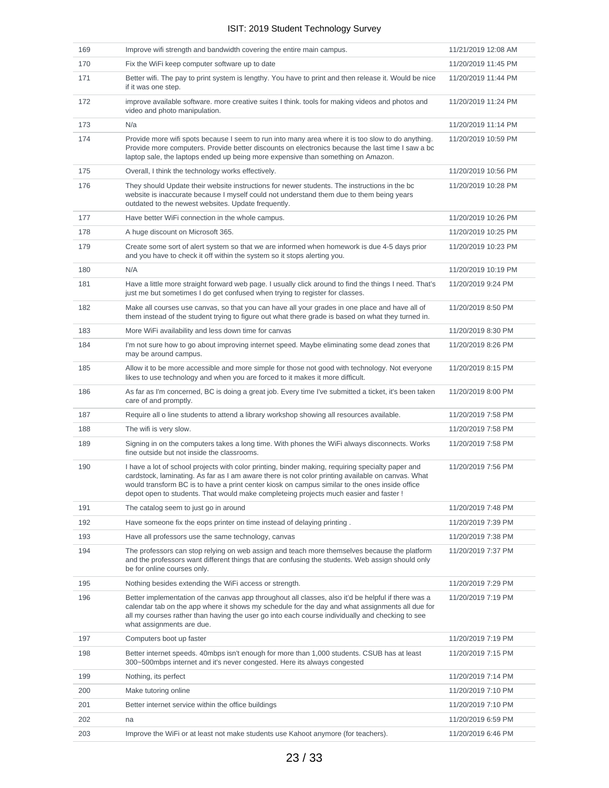| 169 | Improve wifi strength and bandwidth covering the entire main campus.                                                                                                                                                                                                                                                                                                                              | 11/21/2019 12:08 AM |
|-----|---------------------------------------------------------------------------------------------------------------------------------------------------------------------------------------------------------------------------------------------------------------------------------------------------------------------------------------------------------------------------------------------------|---------------------|
| 170 | Fix the WiFi keep computer software up to date                                                                                                                                                                                                                                                                                                                                                    | 11/20/2019 11:45 PM |
| 171 | Better wifi. The pay to print system is lengthy. You have to print and then release it. Would be nice<br>if it was one step.                                                                                                                                                                                                                                                                      | 11/20/2019 11:44 PM |
| 172 | improve available software, more creative suites I think, tools for making videos and photos and<br>video and photo manipulation.                                                                                                                                                                                                                                                                 | 11/20/2019 11:24 PM |
| 173 | N/a                                                                                                                                                                                                                                                                                                                                                                                               | 11/20/2019 11:14 PM |
| 174 | Provide more wifi spots because I seem to run into many area where it is too slow to do anything.<br>Provide more computers. Provide better discounts on electronics because the last time I saw a bc<br>laptop sale, the laptops ended up being more expensive than something on Amazon.                                                                                                         | 11/20/2019 10:59 PM |
| 175 | Overall, I think the technology works effectively.                                                                                                                                                                                                                                                                                                                                                | 11/20/2019 10:56 PM |
| 176 | They should Update their website instructions for newer students. The instructions in the bc<br>website is inaccurate because I myself could not understand them due to them being years<br>outdated to the newest websites. Update frequently.                                                                                                                                                   | 11/20/2019 10:28 PM |
| 177 | Have better WiFi connection in the whole campus.                                                                                                                                                                                                                                                                                                                                                  | 11/20/2019 10:26 PM |
| 178 | A huge discount on Microsoft 365.                                                                                                                                                                                                                                                                                                                                                                 | 11/20/2019 10:25 PM |
| 179 | Create some sort of alert system so that we are informed when homework is due 4-5 days prior<br>and you have to check it off within the system so it stops alerting you.                                                                                                                                                                                                                          | 11/20/2019 10:23 PM |
| 180 | N/A                                                                                                                                                                                                                                                                                                                                                                                               | 11/20/2019 10:19 PM |
| 181 | Have a little more straight forward web page. I usually click around to find the things I need. That's<br>just me but sometimes I do get confused when trying to register for classes.                                                                                                                                                                                                            | 11/20/2019 9:24 PM  |
| 182 | Make all courses use canvas, so that you can have all your grades in one place and have all of<br>them instead of the student trying to figure out what there grade is based on what they turned in.                                                                                                                                                                                              | 11/20/2019 8:50 PM  |
| 183 | More WiFi availability and less down time for canvas                                                                                                                                                                                                                                                                                                                                              | 11/20/2019 8:30 PM  |
| 184 | I'm not sure how to go about improving internet speed. Maybe eliminating some dead zones that<br>may be around campus.                                                                                                                                                                                                                                                                            | 11/20/2019 8:26 PM  |
| 185 | Allow it to be more accessible and more simple for those not good with technology. Not everyone<br>likes to use technology and when you are forced to it makes it more difficult.                                                                                                                                                                                                                 | 11/20/2019 8:15 PM  |
| 186 | As far as I'm concerned, BC is doing a great job. Every time I've submitted a ticket, it's been taken<br>care of and promptly.                                                                                                                                                                                                                                                                    | 11/20/2019 8:00 PM  |
| 187 | Require all o line students to attend a library workshop showing all resources available.                                                                                                                                                                                                                                                                                                         | 11/20/2019 7:58 PM  |
| 188 | The wifi is very slow.                                                                                                                                                                                                                                                                                                                                                                            | 11/20/2019 7:58 PM  |
| 189 | Signing in on the computers takes a long time. With phones the WiFi always disconnects. Works<br>fine outside but not inside the classrooms.                                                                                                                                                                                                                                                      | 11/20/2019 7:58 PM  |
| 190 | I have a lot of school projects with color printing, binder making, requiring specialty paper and<br>cardstock, laminating. As far as I am aware there is not color printing available on canvas. What<br>would transform BC is to have a print center kiosk on campus similar to the ones inside office<br>depot open to students. That would make completeing projects much easier and faster ! | 11/20/2019 7:56 PM  |
| 191 | The catalog seem to just go in around                                                                                                                                                                                                                                                                                                                                                             | 11/20/2019 7:48 PM  |
| 192 | Have someone fix the eops printer on time instead of delaying printing.                                                                                                                                                                                                                                                                                                                           | 11/20/2019 7:39 PM  |
| 193 | Have all professors use the same technology, canvas                                                                                                                                                                                                                                                                                                                                               | 11/20/2019 7:38 PM  |
| 194 | The professors can stop relying on web assign and teach more themselves because the platform<br>and the professors want different things that are confusing the students. Web assign should only<br>be for online courses only.                                                                                                                                                                   | 11/20/2019 7:37 PM  |
| 195 | Nothing besides extending the WiFi access or strength.                                                                                                                                                                                                                                                                                                                                            | 11/20/2019 7:29 PM  |
| 196 | Better implementation of the canvas app throughout all classes, also it'd be helpful if there was a<br>calendar tab on the app where it shows my schedule for the day and what assignments all due for<br>all my courses rather than having the user go into each course individually and checking to see<br>what assignments are due.                                                            | 11/20/2019 7:19 PM  |
| 197 | Computers boot up faster                                                                                                                                                                                                                                                                                                                                                                          | 11/20/2019 7:19 PM  |
| 198 | Better internet speeds. 40mbps isn't enough for more than 1,000 students. CSUB has at least<br>300~500mbps internet and it's never congested. Here its always congested                                                                                                                                                                                                                           | 11/20/2019 7:15 PM  |
| 199 | Nothing, its perfect                                                                                                                                                                                                                                                                                                                                                                              | 11/20/2019 7:14 PM  |
| 200 | Make tutoring online                                                                                                                                                                                                                                                                                                                                                                              | 11/20/2019 7:10 PM  |
| 201 | Better internet service within the office buildings                                                                                                                                                                                                                                                                                                                                               | 11/20/2019 7:10 PM  |
| 202 | na                                                                                                                                                                                                                                                                                                                                                                                                | 11/20/2019 6:59 PM  |
| 203 | Improve the WiFi or at least not make students use Kahoot anymore (for teachers).                                                                                                                                                                                                                                                                                                                 | 11/20/2019 6:46 PM  |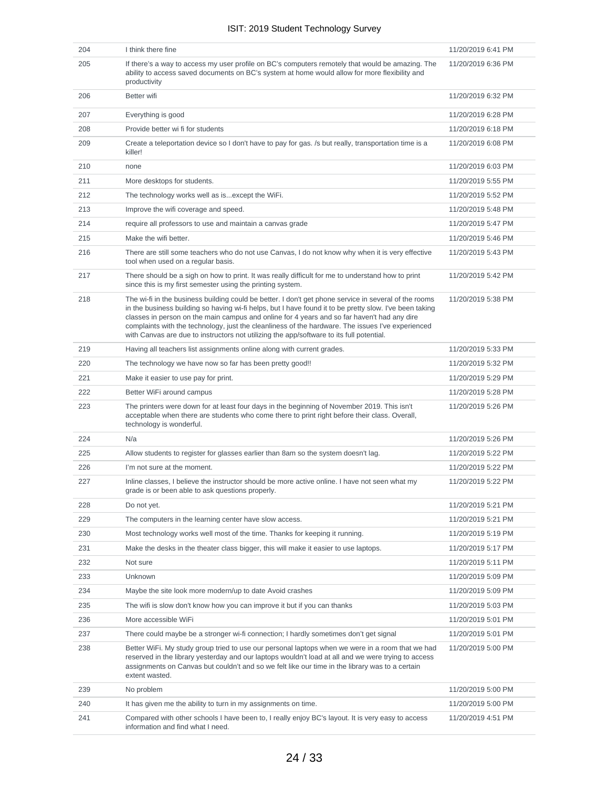| 204 | I think there fine                                                                                                                                                                                                                                                                                                                                                                                                                                                                                               | 11/20/2019 6:41 PM |
|-----|------------------------------------------------------------------------------------------------------------------------------------------------------------------------------------------------------------------------------------------------------------------------------------------------------------------------------------------------------------------------------------------------------------------------------------------------------------------------------------------------------------------|--------------------|
| 205 | If there's a way to access my user profile on BC's computers remotely that would be amazing. The<br>ability to access saved documents on BC's system at home would allow for more flexibility and<br>productivity                                                                                                                                                                                                                                                                                                | 11/20/2019 6:36 PM |
| 206 | Better wifi                                                                                                                                                                                                                                                                                                                                                                                                                                                                                                      | 11/20/2019 6:32 PM |
| 207 | Everything is good                                                                                                                                                                                                                                                                                                                                                                                                                                                                                               | 11/20/2019 6:28 PM |
| 208 | Provide better wi fi for students                                                                                                                                                                                                                                                                                                                                                                                                                                                                                | 11/20/2019 6:18 PM |
| 209 | Create a teleportation device so I don't have to pay for gas. /s but really, transportation time is a<br>killer!                                                                                                                                                                                                                                                                                                                                                                                                 | 11/20/2019 6:08 PM |
| 210 | none                                                                                                                                                                                                                                                                                                                                                                                                                                                                                                             | 11/20/2019 6:03 PM |
| 211 | More desktops for students.                                                                                                                                                                                                                                                                                                                                                                                                                                                                                      | 11/20/2019 5:55 PM |
| 212 | The technology works well as is except the WiFi.                                                                                                                                                                                                                                                                                                                                                                                                                                                                 | 11/20/2019 5:52 PM |
| 213 | Improve the wifi coverage and speed.                                                                                                                                                                                                                                                                                                                                                                                                                                                                             | 11/20/2019 5:48 PM |
| 214 | require all professors to use and maintain a canvas grade                                                                                                                                                                                                                                                                                                                                                                                                                                                        | 11/20/2019 5:47 PM |
| 215 | Make the wifi better.                                                                                                                                                                                                                                                                                                                                                                                                                                                                                            | 11/20/2019 5:46 PM |
| 216 | There are still some teachers who do not use Canvas, I do not know why when it is very effective<br>tool when used on a regular basis.                                                                                                                                                                                                                                                                                                                                                                           | 11/20/2019 5:43 PM |
| 217 | There should be a sigh on how to print. It was really difficult for me to understand how to print<br>since this is my first semester using the printing system.                                                                                                                                                                                                                                                                                                                                                  | 11/20/2019 5:42 PM |
| 218 | The wi-fi in the business building could be better. I don't get phone service in several of the rooms<br>in the business building so having wi-fi helps, but I have found it to be pretty slow. I've been taking<br>classes in person on the main campus and online for 4 years and so far haven't had any dire<br>complaints with the technology, just the cleanliness of the hardware. The issues I've experienced<br>with Canvas are due to instructors not utilizing the app/software to its full potential. | 11/20/2019 5:38 PM |
| 219 | Having all teachers list assignments online along with current grades.                                                                                                                                                                                                                                                                                                                                                                                                                                           | 11/20/2019 5:33 PM |
| 220 | The technology we have now so far has been pretty good!!                                                                                                                                                                                                                                                                                                                                                                                                                                                         | 11/20/2019 5:32 PM |
| 221 | Make it easier to use pay for print.                                                                                                                                                                                                                                                                                                                                                                                                                                                                             | 11/20/2019 5:29 PM |
| 222 | Better WiFi around campus                                                                                                                                                                                                                                                                                                                                                                                                                                                                                        | 11/20/2019 5:28 PM |
| 223 | The printers were down for at least four days in the beginning of November 2019. This isn't<br>acceptable when there are students who come there to print right before their class. Overall,<br>technology is wonderful.                                                                                                                                                                                                                                                                                         | 11/20/2019 5:26 PM |
| 224 | N/a                                                                                                                                                                                                                                                                                                                                                                                                                                                                                                              | 11/20/2019 5:26 PM |
| 225 | Allow students to register for glasses earlier than 8am so the system doesn't lag.                                                                                                                                                                                                                                                                                                                                                                                                                               | 11/20/2019 5:22 PM |
| 226 | I'm not sure at the moment.                                                                                                                                                                                                                                                                                                                                                                                                                                                                                      | 11/20/2019 5:22 PM |
| 227 | Inline classes, I believe the instructor should be more active online. I have not seen what my<br>grade is or been able to ask questions properly.                                                                                                                                                                                                                                                                                                                                                               | 11/20/2019 5:22 PM |
| 228 | Do not yet.                                                                                                                                                                                                                                                                                                                                                                                                                                                                                                      | 11/20/2019 5:21 PM |
| 229 | The computers in the learning center have slow access.                                                                                                                                                                                                                                                                                                                                                                                                                                                           | 11/20/2019 5:21 PM |
| 230 | Most technology works well most of the time. Thanks for keeping it running.                                                                                                                                                                                                                                                                                                                                                                                                                                      | 11/20/2019 5:19 PM |
| 231 | Make the desks in the theater class bigger, this will make it easier to use laptops.                                                                                                                                                                                                                                                                                                                                                                                                                             | 11/20/2019 5:17 PM |
| 232 | Not sure                                                                                                                                                                                                                                                                                                                                                                                                                                                                                                         | 11/20/2019 5:11 PM |
| 233 | Unknown                                                                                                                                                                                                                                                                                                                                                                                                                                                                                                          | 11/20/2019 5:09 PM |
| 234 | Maybe the site look more modern/up to date Avoid crashes                                                                                                                                                                                                                                                                                                                                                                                                                                                         | 11/20/2019 5:09 PM |
| 235 | The wifi is slow don't know how you can improve it but if you can thanks                                                                                                                                                                                                                                                                                                                                                                                                                                         | 11/20/2019 5:03 PM |
| 236 | More accessible WiFi                                                                                                                                                                                                                                                                                                                                                                                                                                                                                             | 11/20/2019 5:01 PM |
| 237 | There could maybe be a stronger wi-fi connection; I hardly sometimes don't get signal                                                                                                                                                                                                                                                                                                                                                                                                                            | 11/20/2019 5:01 PM |
| 238 | Better WiFi. My study group tried to use our personal laptops when we were in a room that we had<br>reserved in the library yesterday and our laptops wouldn't load at all and we were trying to access<br>assignments on Canvas but couldn't and so we felt like our time in the library was to a certain<br>extent wasted.                                                                                                                                                                                     | 11/20/2019 5:00 PM |
| 239 | No problem                                                                                                                                                                                                                                                                                                                                                                                                                                                                                                       | 11/20/2019 5:00 PM |
| 240 | It has given me the ability to turn in my assignments on time.                                                                                                                                                                                                                                                                                                                                                                                                                                                   | 11/20/2019 5:00 PM |
| 241 | Compared with other schools I have been to, I really enjoy BC's layout. It is very easy to access<br>information and find what I need.                                                                                                                                                                                                                                                                                                                                                                           | 11/20/2019 4:51 PM |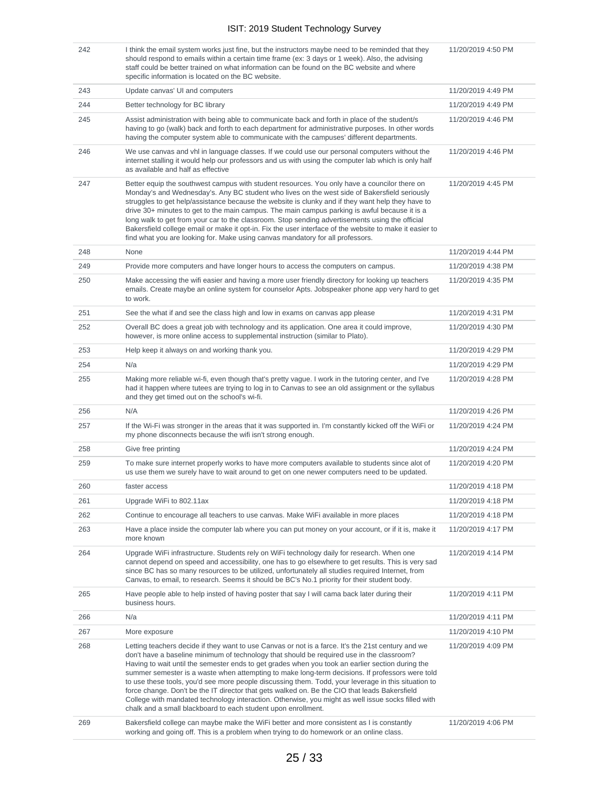| 242 | I think the email system works just fine, but the instructors maybe need to be reminded that they<br>should respond to emails within a certain time frame (ex: 3 days or 1 week). Also, the advising<br>staff could be better trained on what information can be found on the BC website and where<br>specific information is located on the BC website.                                                                                                                                                                                                                                                                                                                                                                                                                              | 11/20/2019 4:50 PM |
|-----|---------------------------------------------------------------------------------------------------------------------------------------------------------------------------------------------------------------------------------------------------------------------------------------------------------------------------------------------------------------------------------------------------------------------------------------------------------------------------------------------------------------------------------------------------------------------------------------------------------------------------------------------------------------------------------------------------------------------------------------------------------------------------------------|--------------------|
| 243 | Update canvas' UI and computers                                                                                                                                                                                                                                                                                                                                                                                                                                                                                                                                                                                                                                                                                                                                                       | 11/20/2019 4:49 PM |
| 244 | Better technology for BC library                                                                                                                                                                                                                                                                                                                                                                                                                                                                                                                                                                                                                                                                                                                                                      | 11/20/2019 4:49 PM |
| 245 | Assist administration with being able to communicate back and forth in place of the student/s<br>having to go (walk) back and forth to each department for administrative purposes. In other words<br>having the computer system able to communicate with the campuses' different departments.                                                                                                                                                                                                                                                                                                                                                                                                                                                                                        | 11/20/2019 4:46 PM |
| 246 | We use canvas and vhl in language classes. If we could use our personal computers without the<br>internet stalling it would help our professors and us with using the computer lab which is only half<br>as available and half as effective                                                                                                                                                                                                                                                                                                                                                                                                                                                                                                                                           | 11/20/2019 4:46 PM |
| 247 | Better equip the southwest campus with student resources. You only have a councilor there on<br>Monday's and Wednesday's. Any BC student who lives on the west side of Bakersfield seriously<br>struggles to get help/assistance because the website is clunky and if they want help they have to<br>drive 30+ minutes to get to the main campus. The main campus parking is awful because it is a<br>long walk to get from your car to the classroom. Stop sending advertisements using the official<br>Bakersfield college email or make it opt-in. Fix the user interface of the website to make it easier to<br>find what you are looking for. Make using canvas mandatory for all professors.                                                                                    | 11/20/2019 4:45 PM |
| 248 | None                                                                                                                                                                                                                                                                                                                                                                                                                                                                                                                                                                                                                                                                                                                                                                                  | 11/20/2019 4:44 PM |
| 249 | Provide more computers and have longer hours to access the computers on campus.                                                                                                                                                                                                                                                                                                                                                                                                                                                                                                                                                                                                                                                                                                       | 11/20/2019 4:38 PM |
| 250 | Make accessing the wifi easier and having a more user friendly directory for looking up teachers<br>emails. Create maybe an online system for counselor Apts. Jobspeaker phone app very hard to get<br>to work.                                                                                                                                                                                                                                                                                                                                                                                                                                                                                                                                                                       | 11/20/2019 4:35 PM |
| 251 | See the what if and see the class high and low in exams on canvas app please                                                                                                                                                                                                                                                                                                                                                                                                                                                                                                                                                                                                                                                                                                          | 11/20/2019 4:31 PM |
| 252 | Overall BC does a great job with technology and its application. One area it could improve,<br>however, is more online access to supplemental instruction (similar to Plato).                                                                                                                                                                                                                                                                                                                                                                                                                                                                                                                                                                                                         | 11/20/2019 4:30 PM |
| 253 | Help keep it always on and working thank you.                                                                                                                                                                                                                                                                                                                                                                                                                                                                                                                                                                                                                                                                                                                                         | 11/20/2019 4:29 PM |
| 254 | N/a                                                                                                                                                                                                                                                                                                                                                                                                                                                                                                                                                                                                                                                                                                                                                                                   | 11/20/2019 4:29 PM |
| 255 | Making more reliable wi-fi, even though that's pretty vague. I work in the tutoring center, and I've<br>had it happen where tutees are trying to log in to Canvas to see an old assignment or the syllabus<br>and they get timed out on the school's wi-fi.                                                                                                                                                                                                                                                                                                                                                                                                                                                                                                                           | 11/20/2019 4:28 PM |
| 256 | N/A                                                                                                                                                                                                                                                                                                                                                                                                                                                                                                                                                                                                                                                                                                                                                                                   | 11/20/2019 4:26 PM |
| 257 | If the Wi-Fi was stronger in the areas that it was supported in. I'm constantly kicked off the WiFi or<br>my phone disconnects because the wifi isn't strong enough.                                                                                                                                                                                                                                                                                                                                                                                                                                                                                                                                                                                                                  | 11/20/2019 4:24 PM |
| 258 | Give free printing                                                                                                                                                                                                                                                                                                                                                                                                                                                                                                                                                                                                                                                                                                                                                                    | 11/20/2019 4:24 PM |
| 259 | To make sure internet properly works to have more computers available to students since alot of<br>us use them we surely have to wait around to get on one newer computers need to be updated.                                                                                                                                                                                                                                                                                                                                                                                                                                                                                                                                                                                        | 11/20/2019 4:20 PM |
| 260 | faster access                                                                                                                                                                                                                                                                                                                                                                                                                                                                                                                                                                                                                                                                                                                                                                         | 11/20/2019 4:18 PM |
| 261 | Upgrade WiFi to 802.11ax                                                                                                                                                                                                                                                                                                                                                                                                                                                                                                                                                                                                                                                                                                                                                              | 11/20/2019 4:18 PM |
| 262 | Continue to encourage all teachers to use canvas. Make WiFi available in more places                                                                                                                                                                                                                                                                                                                                                                                                                                                                                                                                                                                                                                                                                                  | 11/20/2019 4:18 PM |
| 263 | Have a place inside the computer lab where you can put money on your account, or if it is, make it<br>more known                                                                                                                                                                                                                                                                                                                                                                                                                                                                                                                                                                                                                                                                      | 11/20/2019 4:17 PM |
| 264 | Upgrade WiFi infrastructure. Students rely on WiFi technology daily for research. When one<br>cannot depend on speed and accessibility, one has to go elsewhere to get results. This is very sad<br>since BC has so many resources to be utilized, unfortunately all studies required Internet, from<br>Canvas, to email, to research. Seems it should be BC's No.1 priority for their student body.                                                                                                                                                                                                                                                                                                                                                                                  | 11/20/2019 4:14 PM |
| 265 | Have people able to help insted of having poster that say I will cama back later during their<br>business hours.                                                                                                                                                                                                                                                                                                                                                                                                                                                                                                                                                                                                                                                                      | 11/20/2019 4:11 PM |
| 266 | N/a                                                                                                                                                                                                                                                                                                                                                                                                                                                                                                                                                                                                                                                                                                                                                                                   | 11/20/2019 4:11 PM |
| 267 | More exposure                                                                                                                                                                                                                                                                                                                                                                                                                                                                                                                                                                                                                                                                                                                                                                         | 11/20/2019 4:10 PM |
| 268 | Letting teachers decide if they want to use Canvas or not is a farce. It's the 21st century and we<br>don't have a baseline minimum of technology that should be required use in the classroom?<br>Having to wait until the semester ends to get grades when you took an earlier section during the<br>summer semester is a waste when attempting to make long-term decisions. If professors were told<br>to use these tools, you'd see more people discussing them. Todd, your leverage in this situation to<br>force change. Don't be the IT director that gets walked on. Be the CIO that leads Bakersfield<br>College with mandated technology interaction. Otherwise, you might as well issue socks filled with<br>chalk and a small blackboard to each student upon enrollment. | 11/20/2019 4:09 PM |
| 269 | Bakersfield college can maybe make the WiFi better and more consistent as I is constantly<br>working and going off. This is a problem when trying to do homework or an online class.                                                                                                                                                                                                                                                                                                                                                                                                                                                                                                                                                                                                  | 11/20/2019 4:06 PM |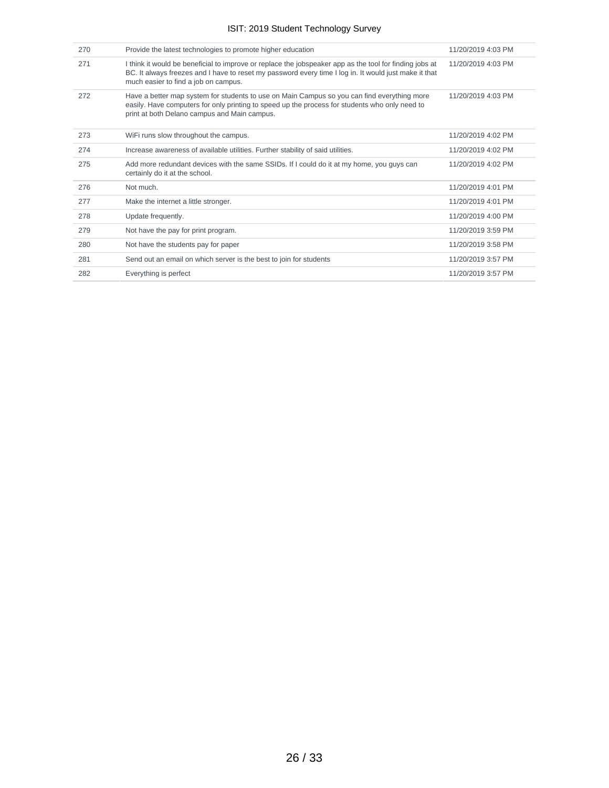| 270 | Provide the latest technologies to promote higher education                                                                                                                                                                                              | 11/20/2019 4:03 PM |
|-----|----------------------------------------------------------------------------------------------------------------------------------------------------------------------------------------------------------------------------------------------------------|--------------------|
| 271 | I think it would be beneficial to improve or replace the jobspeaker app as the tool for finding jobs at<br>BC. It always freezes and I have to reset my password every time I log in. It would just make it that<br>much easier to find a job on campus. | 11/20/2019 4:03 PM |
| 272 | Have a better map system for students to use on Main Campus so you can find everything more<br>easily. Have computers for only printing to speed up the process for students who only need to<br>print at both Delano campus and Main campus.            | 11/20/2019 4:03 PM |
| 273 | WiFi runs slow throughout the campus.                                                                                                                                                                                                                    | 11/20/2019 4:02 PM |
| 274 | Increase awareness of available utilities. Further stability of said utilities.                                                                                                                                                                          | 11/20/2019 4:02 PM |
| 275 | Add more redundant devices with the same SSIDs. If I could do it at my home, you guys can<br>certainly do it at the school.                                                                                                                              | 11/20/2019 4:02 PM |
| 276 | Not much.                                                                                                                                                                                                                                                | 11/20/2019 4:01 PM |
| 277 | Make the internet a little stronger.                                                                                                                                                                                                                     | 11/20/2019 4:01 PM |
| 278 | Update frequently.                                                                                                                                                                                                                                       | 11/20/2019 4:00 PM |
| 279 | Not have the pay for print program.                                                                                                                                                                                                                      | 11/20/2019 3:59 PM |
| 280 | Not have the students pay for paper                                                                                                                                                                                                                      | 11/20/2019 3:58 PM |
| 281 | Send out an email on which server is the best to join for students                                                                                                                                                                                       | 11/20/2019 3:57 PM |
| 282 | Everything is perfect                                                                                                                                                                                                                                    | 11/20/2019 3:57 PM |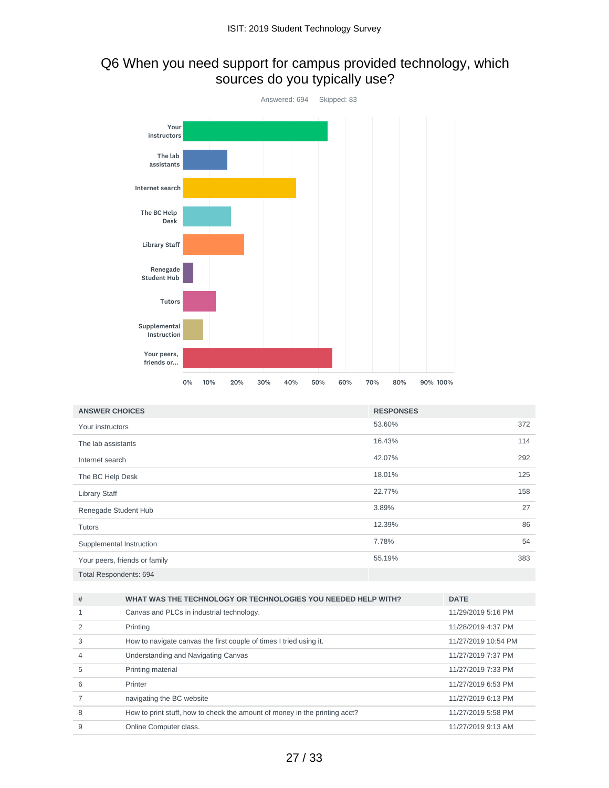# Q6 When you need support for campus provided technology, which sources do you typically use?



| <b>ANSWER CHOICES</b>         | <b>RESPONSES</b> |     |
|-------------------------------|------------------|-----|
| Your instructors              | 53.60%           | 372 |
| The lab assistants            | 16.43%           | 114 |
| Internet search               | 42.07%           | 292 |
| The BC Help Desk              | 18.01%           | 125 |
| <b>Library Staff</b>          | 22.77%           | 158 |
| Renegade Student Hub          | 3.89%            | 27  |
| Tutors                        | 12.39%           | 86  |
| Supplemental Instruction      | 7.78%            | 54  |
| Your peers, friends or family | 55.19%           | 383 |
| Total Respondents: 694        |                  |     |

| # | WHAT WAS THE TECHNOLOGY OR TECHNOLOGIES YOU NEEDED HELP WITH?              | <b>DATE</b>         |
|---|----------------------------------------------------------------------------|---------------------|
|   | Canvas and PLCs in industrial technology.                                  | 11/29/2019 5:16 PM  |
|   | Printing                                                                   | 11/28/2019 4:37 PM  |
| 3 | How to navigate canvas the first couple of times I tried using it.         | 11/27/2019 10:54 PM |
| 4 | Understanding and Navigating Canvas                                        | 11/27/2019 7:37 PM  |
| 5 | Printing material                                                          | 11/27/2019 7:33 PM  |
| 6 | Printer                                                                    | 11/27/2019 6:53 PM  |
|   | navigating the BC website                                                  | 11/27/2019 6:13 PM  |
| 8 | How to print stuff, how to check the amount of money in the printing acct? | 11/27/2019 5:58 PM  |
| 9 | Online Computer class.                                                     | 11/27/2019 9:13 AM  |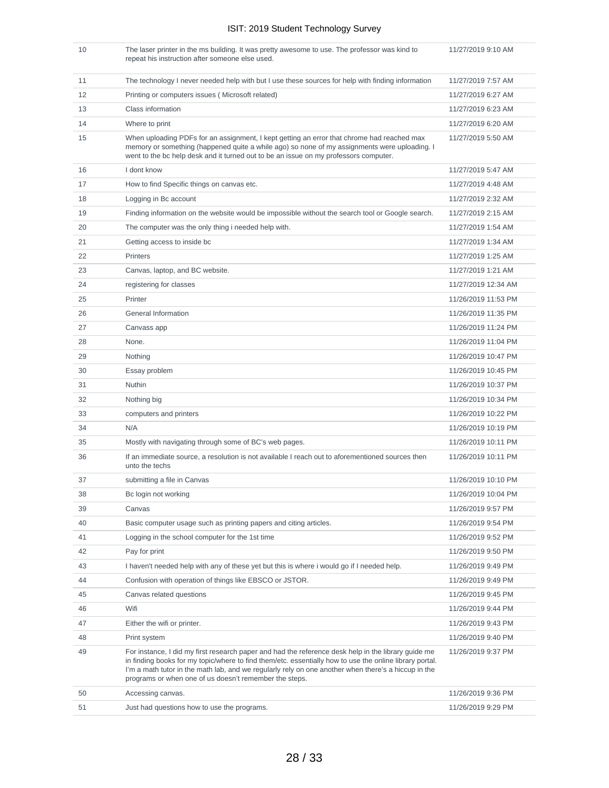| 10 | The laser printer in the ms building. It was pretty awesome to use. The professor was kind to<br>repeat his instruction after someone else used.                                                                                                                                                                                                                                | 11/27/2019 9:10 AM  |
|----|---------------------------------------------------------------------------------------------------------------------------------------------------------------------------------------------------------------------------------------------------------------------------------------------------------------------------------------------------------------------------------|---------------------|
| 11 | The technology I never needed help with but I use these sources for help with finding information                                                                                                                                                                                                                                                                               | 11/27/2019 7:57 AM  |
| 12 | Printing or computers issues (Microsoft related)                                                                                                                                                                                                                                                                                                                                | 11/27/2019 6:27 AM  |
| 13 | Class information                                                                                                                                                                                                                                                                                                                                                               | 11/27/2019 6:23 AM  |
| 14 | Where to print                                                                                                                                                                                                                                                                                                                                                                  | 11/27/2019 6:20 AM  |
| 15 | When uploading PDFs for an assignment, I kept getting an error that chrome had reached max<br>memory or something (happened quite a while ago) so none of my assignments were uploading. I<br>went to the bc help desk and it turned out to be an issue on my professors computer.                                                                                              | 11/27/2019 5:50 AM  |
| 16 | I dont know                                                                                                                                                                                                                                                                                                                                                                     | 11/27/2019 5:47 AM  |
| 17 | How to find Specific things on canvas etc.                                                                                                                                                                                                                                                                                                                                      | 11/27/2019 4:48 AM  |
| 18 | Logging in Bc account                                                                                                                                                                                                                                                                                                                                                           | 11/27/2019 2:32 AM  |
| 19 | Finding information on the website would be impossible without the search tool or Google search.                                                                                                                                                                                                                                                                                | 11/27/2019 2:15 AM  |
| 20 | The computer was the only thing i needed help with.                                                                                                                                                                                                                                                                                                                             | 11/27/2019 1:54 AM  |
| 21 | Getting access to inside bc                                                                                                                                                                                                                                                                                                                                                     | 11/27/2019 1:34 AM  |
| 22 | Printers                                                                                                                                                                                                                                                                                                                                                                        | 11/27/2019 1:25 AM  |
| 23 | Canvas, laptop, and BC website.                                                                                                                                                                                                                                                                                                                                                 | 11/27/2019 1:21 AM  |
| 24 | registering for classes                                                                                                                                                                                                                                                                                                                                                         | 11/27/2019 12:34 AM |
| 25 | Printer                                                                                                                                                                                                                                                                                                                                                                         | 11/26/2019 11:53 PM |
| 26 | <b>General Information</b>                                                                                                                                                                                                                                                                                                                                                      | 11/26/2019 11:35 PM |
| 27 | Canvass app                                                                                                                                                                                                                                                                                                                                                                     | 11/26/2019 11:24 PM |
| 28 | None.                                                                                                                                                                                                                                                                                                                                                                           | 11/26/2019 11:04 PM |
| 29 | Nothing                                                                                                                                                                                                                                                                                                                                                                         | 11/26/2019 10:47 PM |
| 30 | Essay problem                                                                                                                                                                                                                                                                                                                                                                   | 11/26/2019 10:45 PM |
| 31 | Nuthin                                                                                                                                                                                                                                                                                                                                                                          | 11/26/2019 10:37 PM |
| 32 | Nothing big                                                                                                                                                                                                                                                                                                                                                                     | 11/26/2019 10:34 PM |
| 33 | computers and printers                                                                                                                                                                                                                                                                                                                                                          | 11/26/2019 10:22 PM |
| 34 | N/A                                                                                                                                                                                                                                                                                                                                                                             | 11/26/2019 10:19 PM |
| 35 | Mostly with navigating through some of BC's web pages.                                                                                                                                                                                                                                                                                                                          | 11/26/2019 10:11 PM |
| 36 | If an immediate source, a resolution is not available I reach out to aforementioned sources then<br>unto the techs                                                                                                                                                                                                                                                              | 11/26/2019 10:11 PM |
| 37 | submitting a file in Canvas                                                                                                                                                                                                                                                                                                                                                     | 11/26/2019 10:10 PM |
| 38 | Bc login not working                                                                                                                                                                                                                                                                                                                                                            | 11/26/2019 10:04 PM |
| 39 | Canvas                                                                                                                                                                                                                                                                                                                                                                          | 11/26/2019 9:57 PM  |
| 40 | Basic computer usage such as printing papers and citing articles.                                                                                                                                                                                                                                                                                                               | 11/26/2019 9:54 PM  |
| 41 | Logging in the school computer for the 1st time                                                                                                                                                                                                                                                                                                                                 | 11/26/2019 9:52 PM  |
| 42 | Pay for print                                                                                                                                                                                                                                                                                                                                                                   | 11/26/2019 9:50 PM  |
| 43 | I haven't needed help with any of these yet but this is where i would go if I needed help.                                                                                                                                                                                                                                                                                      | 11/26/2019 9:49 PM  |
| 44 | Confusion with operation of things like EBSCO or JSTOR.                                                                                                                                                                                                                                                                                                                         | 11/26/2019 9:49 PM  |
| 45 | Canvas related questions                                                                                                                                                                                                                                                                                                                                                        | 11/26/2019 9:45 PM  |
| 46 | Wifi                                                                                                                                                                                                                                                                                                                                                                            | 11/26/2019 9:44 PM  |
| 47 | Either the wifi or printer.                                                                                                                                                                                                                                                                                                                                                     | 11/26/2019 9:43 PM  |
| 48 | Print system                                                                                                                                                                                                                                                                                                                                                                    | 11/26/2019 9:40 PM  |
| 49 | For instance, I did my first research paper and had the reference desk help in the library guide me<br>in finding books for my topic/where to find them/etc. essentially how to use the online library portal.<br>I'm a math tutor in the math lab, and we regularly rely on one another when there's a hiccup in the<br>programs or when one of us doesn't remember the steps. | 11/26/2019 9:37 PM  |
| 50 | Accessing canvas.                                                                                                                                                                                                                                                                                                                                                               | 11/26/2019 9:36 PM  |
| 51 | Just had questions how to use the programs.                                                                                                                                                                                                                                                                                                                                     | 11/26/2019 9:29 PM  |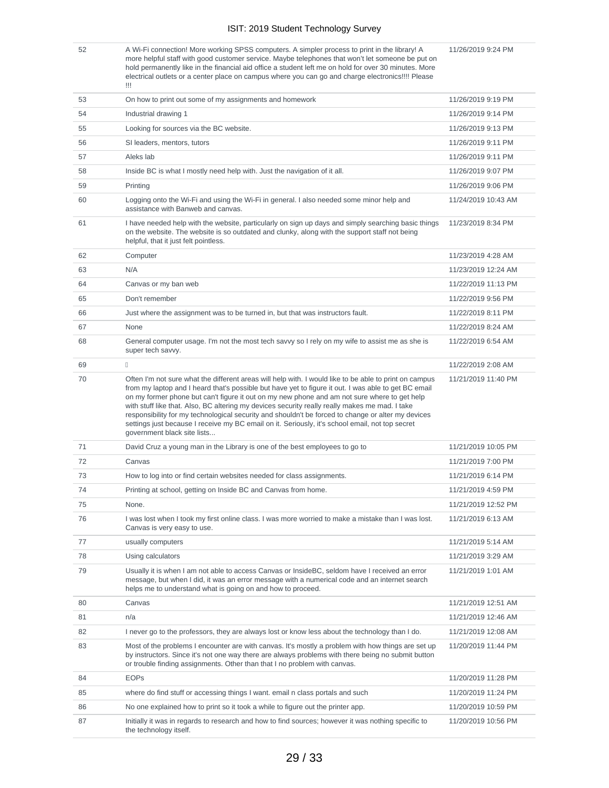11/26/2019 9:24 PM

52 A Wi-Fi connection! More working SPSS computers. A simpler process to print in the library! A more helpful staff with good customer service. Maybe telephones that won't let someone be put on hold permanently like in the financial aid office a student left me on hold for over 30 minutes. More electrical outlets or a center place on campus where you can go and charge electronics!!!! Please !!!

53 On how to print out some of my assignments and homework 11/26/2019 9:19 PM 54 Industrial drawing 1 11/26/2019 9:14 PM 55 Looking for sources via the BC website. 11/26/2019 9:13 PM 56 SI leaders, mentors, tutors 11/26/2019 9:11 PM 57 Aleks lab 11/26/2019 9:11 PM 58 Inside BC is what I mostly need help with. Just the navigation of it all. 11/26/2019 9:07 PM 59 Printing 11/26/2019 9:06 PM 60 Logging onto the Wi-Fi and using the Wi-Fi in general. I also needed some minor help and assistance with Banweb and canvas. 11/24/2019 10:43 AM 61 I have needed help with the website, particularly on sign up days and simply searching basic things on the website. The website is so outdated and clunky, along with the support staff not being helpful, that it just felt pointless. 11/23/2019 8:34 PM 62 Computer 11/23/2019 4:28 AM 63 N/A 11/23/2019 12:24 AM 64 Canvas or my ban web 11/22/2019 11:13 PM 65 Don't remember 11/22/2019 9:56 PM 66 Just where the assignment was to be turned in, but that was instructors fault. 11/22/2019 8:11 PM 67 None 2012/2019 8:24 AM 68 General computer usage. I'm not the most tech savvy so I rely on my wife to assist me as she is super tech savvy. 11/22/2019 6:54 AM 69 11/22/2019 2:08 AM 70 Often I'm not sure what the different areas will help with. I would like to be able to print on campus from my laptop and I heard that's possible but have yet to figure it out. I was able to get BC email on my former phone but can't figure it out on my new phone and am not sure where to get help with stuff like that. Also, BC altering my devices security really really makes me mad. I take responsibility for my technological security and shouldn't be forced to change or alter my devices settings just because I receive my BC email on it. Seriously, it's school email, not top secret government black site lists... 11/21/2019 11:40 PM 71 David Cruz a young man in the Library is one of the best employees to go to 11/21/2019 10:05 PM 72 Canvas 11/21/2019 7:00 PM 73 How to log into or find certain websites needed for class assignments. 11/21/2019 6:14 PM 74 Printing at school, getting on Inside BC and Canvas from home. 11/21/2019 4:59 PM 75 None. 11/21/2019 12:52 PM 76 I was lost when I took my first online class. I was more worried to make a mistake than I was lost. Canvas is very easy to use. 11/21/2019 6:13 AM 77 usually computers 11/21/2019 5:14 AM 78 Using calculators 11/21/2019 3:29 AM 79 Usually it is when I am not able to access Canvas or InsideBC, seldom have I received an error message, but when I did, it was an error message with a numerical code and an internet search helps me to understand what is going on and how to proceed. 11/21/2019 1:01 AM 80 Canvas 11/21/2019 12:51 AM 81 n/a 11/21/2019 12:46 AM 82 I never go to the professors, they are always lost or know less about the technology than I do. 11/21/2019 12:08 AM 83 Most of the problems I encounter are with canvas. It's mostly a problem with how things are set up by instructors. Since it's not one way there are always problems with there being no submit button or trouble finding assignments. Other than that I no problem with canvas. 11/20/2019 11:44 PM 84 EOPs 21/20/2019 11:28 PM 85 where do find stuff or accessing things I want. email n class portals and such 11/20/2019 11:24 PM 86 No one explained how to print so it took a while to figure out the printer app. 11/20/2019 10:59 PM 87 Initially it was in regards to research and how to find sources; however it was nothing specific to the technology itself. 11/20/2019 10:56 PM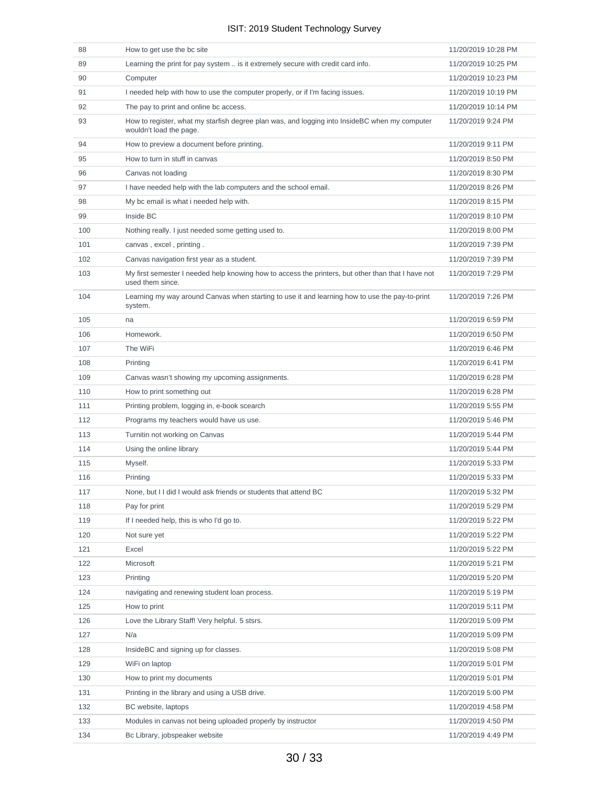| 88  | How to get use the bc site                                                                                               | 11/20/2019 10:28 PM |
|-----|--------------------------------------------------------------------------------------------------------------------------|---------------------|
| 89  | Learning the print for pay system  is it extremely secure with credit card info.                                         | 11/20/2019 10:25 PM |
| 90  | Computer                                                                                                                 | 11/20/2019 10:23 PM |
| 91  | I needed help with how to use the computer properly, or if I'm facing issues.                                            | 11/20/2019 10:19 PM |
| 92  | The pay to print and online bc access.                                                                                   | 11/20/2019 10:14 PM |
| 93  | How to register, what my starfish degree plan was, and logging into InsideBC when my computer<br>wouldn't load the page. | 11/20/2019 9:24 PM  |
| 94  | How to preview a document before printing.                                                                               | 11/20/2019 9:11 PM  |
| 95  | How to turn in stuff in canvas                                                                                           | 11/20/2019 8:50 PM  |
| 96  | Canvas not loading                                                                                                       | 11/20/2019 8:30 PM  |
| 97  | I have needed help with the lab computers and the school email.                                                          | 11/20/2019 8:26 PM  |
| 98  | My bc email is what i needed help with.                                                                                  | 11/20/2019 8:15 PM  |
| 99  | Inside BC                                                                                                                | 11/20/2019 8:10 PM  |
| 100 | Nothing really. I just needed some getting used to.                                                                      | 11/20/2019 8:00 PM  |
| 101 | canvas, excel, printing.                                                                                                 | 11/20/2019 7:39 PM  |
| 102 | Canvas navigation first year as a student.                                                                               | 11/20/2019 7:39 PM  |
| 103 | My first semester I needed help knowing how to access the printers, but other than that I have not<br>used them since.   | 11/20/2019 7:29 PM  |
| 104 | Learning my way around Canvas when starting to use it and learning how to use the pay-to-print<br>system.                | 11/20/2019 7:26 PM  |
| 105 | na                                                                                                                       | 11/20/2019 6:59 PM  |
| 106 | Homework.                                                                                                                | 11/20/2019 6:50 PM  |
| 107 | The WiFi                                                                                                                 | 11/20/2019 6:46 PM  |
| 108 | Printing                                                                                                                 | 11/20/2019 6:41 PM  |
| 109 | Canvas wasn't showing my upcoming assignments.                                                                           | 11/20/2019 6:28 PM  |
| 110 | How to print something out                                                                                               | 11/20/2019 6:28 PM  |
| 111 | Printing problem, logging in, e-book scearch                                                                             | 11/20/2019 5:55 PM  |
| 112 | Programs my teachers would have us use.                                                                                  | 11/20/2019 5:46 PM  |
| 113 | Turnitin not working on Canvas                                                                                           | 11/20/2019 5:44 PM  |
| 114 | Using the online library                                                                                                 | 11/20/2019 5:44 PM  |
| 115 | Myself.                                                                                                                  | 11/20/2019 5:33 PM  |
| 116 | Printing                                                                                                                 | 11/20/2019 5:33 PM  |
| 117 | None, but I I did I would ask friends or students that attend BC                                                         | 11/20/2019 5:32 PM  |
| 118 | Pay for print                                                                                                            | 11/20/2019 5:29 PM  |
| 119 | If I needed help, this is who I'd go to.                                                                                 | 11/20/2019 5:22 PM  |
| 120 | Not sure yet                                                                                                             | 11/20/2019 5:22 PM  |
| 121 | Excel                                                                                                                    | 11/20/2019 5:22 PM  |
| 122 | Microsoft                                                                                                                | 11/20/2019 5:21 PM  |
| 123 | Printing                                                                                                                 | 11/20/2019 5:20 PM  |
| 124 | navigating and renewing student loan process.                                                                            | 11/20/2019 5:19 PM  |
| 125 | How to print                                                                                                             | 11/20/2019 5:11 PM  |
| 126 | Love the Library Staff! Very helpful. 5 stsrs.                                                                           | 11/20/2019 5:09 PM  |
| 127 | N/a                                                                                                                      | 11/20/2019 5:09 PM  |
| 128 | InsideBC and signing up for classes.                                                                                     | 11/20/2019 5:08 PM  |
| 129 | WiFi on laptop                                                                                                           | 11/20/2019 5:01 PM  |
| 130 | How to print my documents                                                                                                | 11/20/2019 5:01 PM  |
| 131 | Printing in the library and using a USB drive.                                                                           | 11/20/2019 5:00 PM  |
| 132 | BC website, laptops                                                                                                      | 11/20/2019 4:58 PM  |
| 133 | Modules in canvas not being uploaded properly by instructor                                                              | 11/20/2019 4:50 PM  |
| 134 | Bc Library, jobspeaker website                                                                                           | 11/20/2019 4:49 PM  |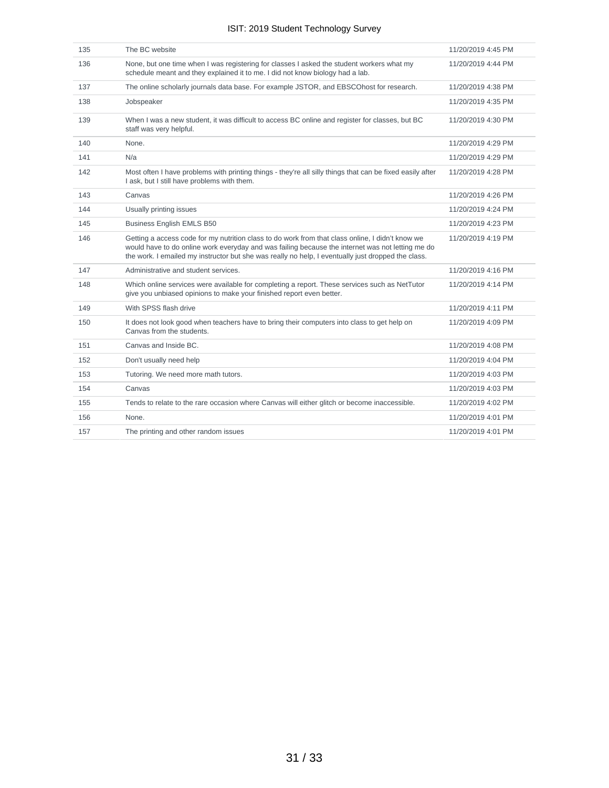| 135 | The BC website                                                                                                                                                                                                                                                                                             | 11/20/2019 4:45 PM |
|-----|------------------------------------------------------------------------------------------------------------------------------------------------------------------------------------------------------------------------------------------------------------------------------------------------------------|--------------------|
| 136 | None, but one time when I was registering for classes I asked the student workers what my<br>schedule meant and they explained it to me. I did not know biology had a lab.                                                                                                                                 | 11/20/2019 4:44 PM |
| 137 | The online scholarly journals data base. For example JSTOR, and EBSCOhost for research.                                                                                                                                                                                                                    | 11/20/2019 4:38 PM |
| 138 | Jobspeaker                                                                                                                                                                                                                                                                                                 | 11/20/2019 4:35 PM |
| 139 | When I was a new student, it was difficult to access BC online and register for classes, but BC<br>staff was very helpful.                                                                                                                                                                                 | 11/20/2019 4:30 PM |
| 140 | None.                                                                                                                                                                                                                                                                                                      | 11/20/2019 4:29 PM |
| 141 | N/a                                                                                                                                                                                                                                                                                                        | 11/20/2019 4:29 PM |
| 142 | Most often I have problems with printing things - they're all silly things that can be fixed easily after<br>I ask, but I still have problems with them.                                                                                                                                                   | 11/20/2019 4:28 PM |
| 143 | Canvas                                                                                                                                                                                                                                                                                                     | 11/20/2019 4:26 PM |
| 144 | Usually printing issues                                                                                                                                                                                                                                                                                    | 11/20/2019 4:24 PM |
| 145 | <b>Business English EMLS B50</b>                                                                                                                                                                                                                                                                           | 11/20/2019 4:23 PM |
| 146 | Getting a access code for my nutrition class to do work from that class online, I didn't know we<br>would have to do online work everyday and was failing because the internet was not letting me do<br>the work. I emailed my instructor but she was really no help, I eventually just dropped the class. | 11/20/2019 4:19 PM |
| 147 | Administrative and student services.                                                                                                                                                                                                                                                                       | 11/20/2019 4:16 PM |
| 148 | Which online services were available for completing a report. These services such as NetTutor<br>give you unbiased opinions to make your finished report even better.                                                                                                                                      | 11/20/2019 4:14 PM |
| 149 | With SPSS flash drive                                                                                                                                                                                                                                                                                      | 11/20/2019 4:11 PM |
| 150 | It does not look good when teachers have to bring their computers into class to get help on<br>Canvas from the students.                                                                                                                                                                                   | 11/20/2019 4:09 PM |
| 151 | Canvas and Inside BC.                                                                                                                                                                                                                                                                                      | 11/20/2019 4:08 PM |
| 152 | Don't usually need help                                                                                                                                                                                                                                                                                    | 11/20/2019 4:04 PM |
| 153 | Tutoring. We need more math tutors.                                                                                                                                                                                                                                                                        | 11/20/2019 4:03 PM |
| 154 | Canvas                                                                                                                                                                                                                                                                                                     | 11/20/2019 4:03 PM |
| 155 | Tends to relate to the rare occasion where Canvas will either glitch or become inaccessible.                                                                                                                                                                                                               | 11/20/2019 4:02 PM |
| 156 | None.                                                                                                                                                                                                                                                                                                      | 11/20/2019 4:01 PM |
| 157 | The printing and other random issues                                                                                                                                                                                                                                                                       | 11/20/2019 4:01 PM |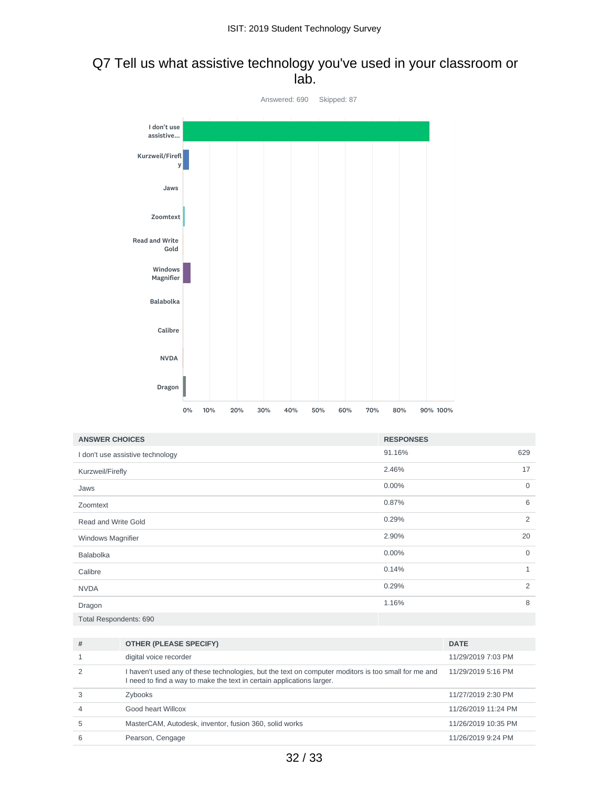## Q7 Tell us what assistive technology you've used in your classroom or lab.



| <b>ANSWER CHOICES</b>            | <b>RESPONSES</b> |                |
|----------------------------------|------------------|----------------|
| I don't use assistive technology | 91.16%           | 629            |
| Kurzweil/Firefly                 | 2.46%            | 17             |
| Jaws                             | 0.00%            | $\mathbf 0$    |
| Zoomtext                         | 0.87%            | 6              |
| Read and Write Gold              | 0.29%            | 2              |
| <b>Windows Magnifier</b>         | 2.90%            | 20             |
| Balabolka                        | 0.00%            | $\mathbf 0$    |
| Calibre                          | 0.14%            | 1              |
| <b>NVDA</b>                      | 0.29%            | $\overline{2}$ |
| Dragon                           | 1.16%            | 8              |
| Total Respondents: 690           |                  |                |

| #              | <b>OTHER (PLEASE SPECIFY)</b>                                                                                                                                                | <b>DATE</b>         |
|----------------|------------------------------------------------------------------------------------------------------------------------------------------------------------------------------|---------------------|
|                | digital voice recorder                                                                                                                                                       | 11/29/2019 7:03 PM  |
|                | I haven't used any of these technologies, but the text on computer moditors is too small for me and<br>I need to find a way to make the text in certain applications larger. | 11/29/2019 5:16 PM  |
|                | Zybooks                                                                                                                                                                      | 11/27/2019 2:30 PM  |
| $\overline{A}$ | Good heart Willcox                                                                                                                                                           | 11/26/2019 11:24 PM |
| 5              | MasterCAM, Autodesk, inventor, fusion 360, solid works                                                                                                                       | 11/26/2019 10:35 PM |
| 6              | Pearson, Cengage                                                                                                                                                             | 11/26/2019 9:24 PM  |